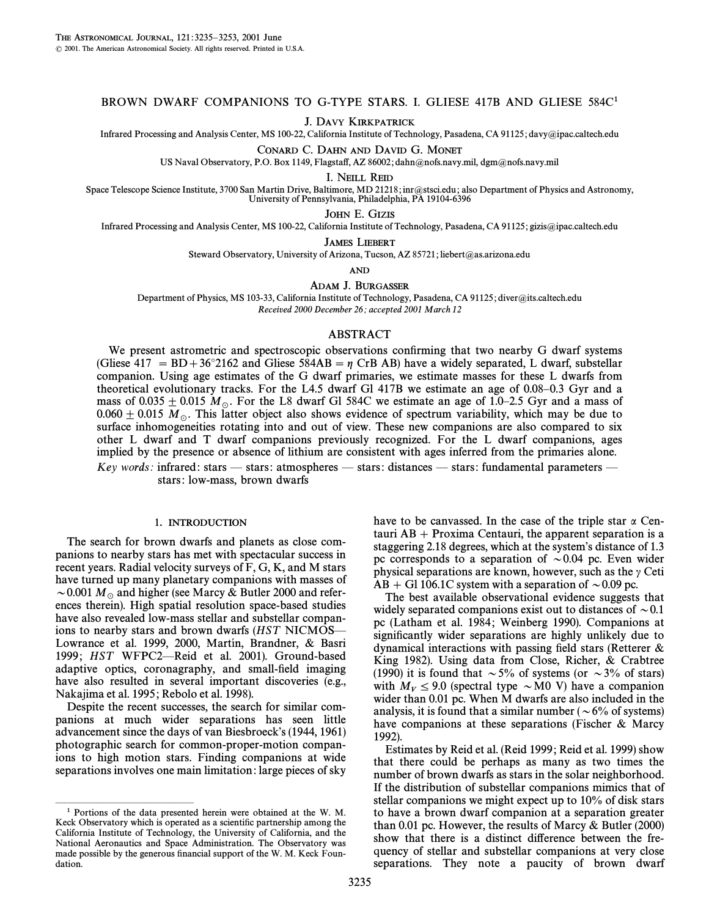### BROWN DWARF COMPANIONS TO G-TYPE STARS. I. GLIESE 417B AND GLIESE 584C1

J. DAVY KIRKPATRICK

Infrared Processing and Analysis Center, MS 100-22, California Institute of Technology, Pasadena, CA 91125; davy@ipac.caltech.edu

CONARD C. DAHN AND DAVID G. MONET

US Naval Observatory, P.O. Box 1149, Flagstaff, AZ 86002; dahn@nofs.navy.mil, dgm@nofs.navy.mil

I. NEILL REID

Space Telescope Science Institute, 3700 San Martin Drive, Baltimore, MD 21218; inr@stsci.edu; also Department of Physics and Astronomy, University of Pennsylvania, Philadelphia, PA 19104-6396

JOHN E. GIZIS

Infrared Processing and Analysis Center, MS 100-22, California Institute of Technology, Pasadena, CA 91125; gizis@ipac.caltech.edu

JAMES LIEBERT

Steward Observatory, University of Arizona, Tucson, AZ 85721; liebert@as.arizona.edu

AND

ADAM J. BURGASSER

Department of Physics, MS 103-33, California Institute of Technology, Pasadena, CA 91125; diver@its.caltech.edu Received 2000 December 26; accepted 2001 March 12

#### ABSTRACT

We present astrometric and spectroscopic observations confirming that two nearby G dwarf systems (Gliese 417 = BD+36°2162 and Gliese 584AB =  $\eta$  CrB AB) have a widely separated, L dwarf, substellar companion. Using age estimates of the G dwarf primaries, we estimate masses for these L dwarfs from theoretical evolutionary tracks. For the L4.5 dwarf Gl  $417B$  we estimate an age of 0.08–0.3 Gyr and a mass of 0.035  $\pm$  0.015  $M_{\odot}$ . For the L8 dwarf Gl 584C we estimate an age of 1.0–2.5 Gyr and a mass of 0.060  $\pm$  0.015  $M_\odot$ . This latter object also shows evidence of spectrum variability, which may be due to surface inhomogeneities rotating into and out of view. These new companions are also compared to six other L dwarf and T dwarf companions previously recognized. For the L dwarf companions, ages implied by the presence or absence of lithium are consistent with ages inferred from the primaries alone.

Key words: infrared: stars — stars: atmospheres — stars: distances — stars: fundamental parameters stars: low-mass, brown dwarfs

#### 1. INTRODUCTION

The search for brown dwarfs and planets as close companions to nearby stars has met with spectacular success in recent years. Radial velocity surveys of F, G, K, and M stars have turned up many planetary companions with masses of  $\sim$  0.001  $M_\odot$  and higher (see Marcy & Butler 2000 and references therein). High spatial resolution space-based studies have also revealed low-mass stellar and substellar companions to nearby stars and brown dwarfs ( $HST$  NICMOS $-$ Lowrance et al. 1999, 2000, Martín, Brandner, & Basri 1999; HST WFPC2—Reid et al. 2001). Ground-based adaptive optics, coronagraphy, and small-field imaging have also resulted in several important discoveries (e.g., Nakajima et al. 1995; Rebolo et al. 1998).

Despite the recent successes, the search for similar companions at much wider separations has seen little advancement since the days of van Biesbroeck's (1944, 1961) photographic search for common-proper-motion companions to high motion stars. Finding companions at wide separations involves one main limitation : large pieces of sky

ÈÈÈÈÈÈÈÈÈÈÈÈÈÈÈ

have to be canvassed. In the case of the triple star  $\alpha$  Centauri  $AB + Proxima$  Centauri, the apparent separation is a staggering 2.18 degrees, which at the system's distance of 1.3 pc corresponds to a separation of  $\sim 0.04$  pc. Even wider physical separations are known, however, such as the  $\gamma$  Ceti  $AB + GI 106.1C$  system with a separation of  $\sim 0.09$  pc.

The best available observational evidence suggests that widely separated companions exist out to distances of  $\sim 0.1$ pc (Latham et al. 1984; Weinberg 1990). Companions at significantly wider separations are highly unlikely due to dynamical interactions with passing field stars (Retterer  $\&$ King 1982). Using data from Close, Richer, & Crabtree (1990) it is found that  $\sim 5\%$  of systems (or  $\sim 3\%$  of stars) with  $M_V \le 9.0$  (spectral type  $\sim$  M0 V) have a companion wider than 0.01 pc. When M dwarfs are also included in the analysis, it is found that a similar number ( $\sim 6\%$  of systems) have companions at these separations (Fischer & Marcy 1992).

Estimates by Reid et al. (Reid 1999 ; Reid et al. 1999) show that there could be perhaps as many as two times the number of brown dwarfs as stars in the solar neighborhood. If the distribution of substellar companions mimics that of stellar companions we might expect up to 10% of disk stars to have a brown dwarf companion at a separation greater than 0.01 pc. However, the results of Marcy & Butler (2000) show that there is a distinct difference between the frequency of stellar and substellar companions at very close separations. They note a paucity of brown dwarf

<sup>1</sup> Portions of the data presented herein were obtained at the W. M. Keck Observatory which is operated as a scientific partnership among the California Institute of Technology, the University of California, and the National Aeronautics and Space Administration. The Observatory was made possible by the generous financial support of the W. M. Keck Foundation.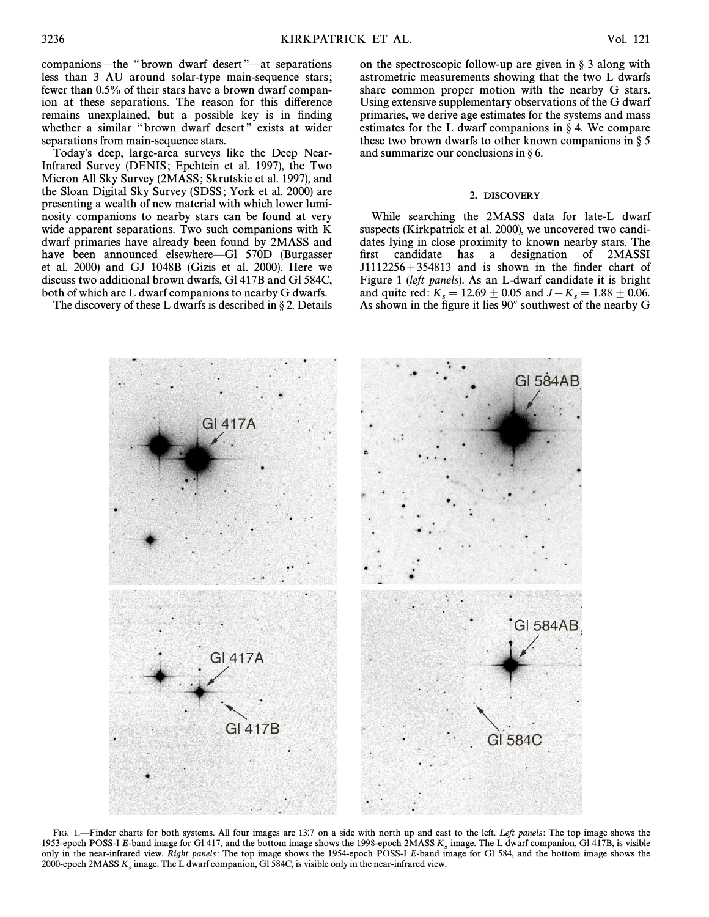companions—the "brown dwarf desert"—at separations less than 3 AU around solar-type main-sequence stars ; fewer than 0.5% of their stars have a brown dwarf companion at these separations. The reason for this difference remains unexplained, but a possible key is in finding whether a similar "brown dwarf desert" exists at wider separations from main-sequence stars.

Today's deep, large-area surveys like the Deep Near-Infrared Survey (DENIS; Epchtein et al. 1997), the Two Micron All Sky Survey (2MASS; Skrutskie et al. 1997), and the Sloan Digital Sky Survey (SDSS; York et al. 2000) are presenting a wealth of new material with which lower luminosity companions to nearby stars can be found at very wide apparent separations. Two such companions with K dwarf primaries have already been found by 2MASS and have been announced elsewhere—Gl 570D (Burgasser et al. 2000) and GJ 1048B (Gizis et al. 2000). Here we discuss two additional brown dwarfs, Gl 417B and Gl 584C, both of which are L dwarf companions to nearby G dwarfs.

The discovery of these L dwarfs is described in  $\S 2$ . Details

on the spectroscopic follow-up are given in  $\S$  3 along with astrometric measurements showing that the two L dwarfs share common proper motion with the nearby G stars. Using extensive supplementary observations of the G dwarf primaries, we derive age estimates for the systems and mass estimates for the L dwarf companions in  $\S$  4. We compare these two brown dwarfs to other known companions in  $\S$  5 and summarize our conclusions in  $\S$  6.

#### 2. DISCOVERY

While searching the 2MASS data for late-L dwarf suspects (Kirkpatrick et al. 2000), we uncovered two candidates lying in close proximity to known nearby stars. The first candidate has a designation of 2MASSI  $J1112256 + 354813$  and is shown in the finder chart of Figure 1 (left panels). As an L-dwarf candidate it is bright and quite red:  $K_s = 12.69 \pm 0.05$  and  $J - K_s = 1.88 \pm 0.06$ .<br>As shown in the figure it lies 90% southwest of the nearby G As shown in the figure it lies 90" southwest of the nearby G

FIG. 1.—Finder charts for both systems. All four images are 13.7 on a side with north up and east to the left. Left panels: The top image shows the 1953-epoch POSS-I E-band image for Gl 417, and the bottom image shows the only in the near-infrared view. Right panels: The top image shows the 1954-epoch POSS-I E-band image for Gl 584, and the bottom image shows the 2000-epoch 2MASS  $K_s$  image. The L dwarf companion, Gl 584C, is visible only in the near-infrared view.

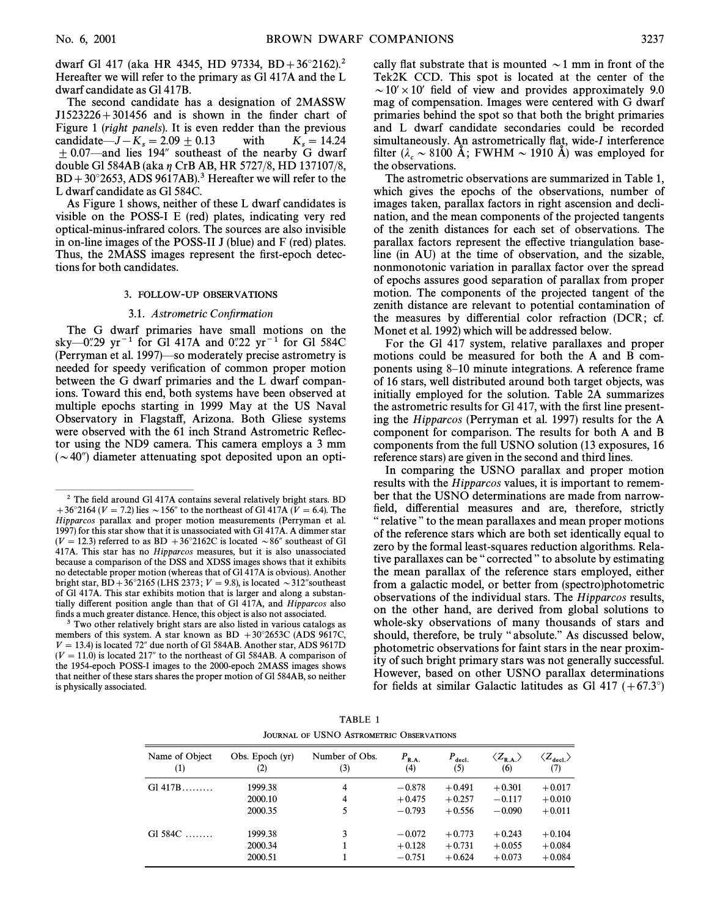dwarf Gl 417 (aka HR 4345, HD 97334, BD +  $36^{\circ}2162$ ).<sup>2</sup> Hereafter we will refer to the primary as Gl 417A and the L dwarf candidate as Gl 417B.

The second candidate has a designation of 2MASSW  $J1523226 + 301456$  and is shown in the finder chart of Figure 1 (right panels). It is even redder than the previous candidate— $J-K_s = 2.09 \pm 0.13$ with  $K_s = 14.24$  $\pm$  0.07—and lies 194" southeast of the nearby G dwarf double Gl 584AB (aka  $\eta$  CrB AB, HR 5727/8, HD 137107/8,  $BD + 30^{\circ}2653$ , ADS 9617AB).<sup>3</sup> Hereafter we will refer to the L dwarf candidate as Gl 584C.

As Figure 1 shows, neither of these L dwarf candidates is visible on the POSS-I E (red) plates, indicating very red optical-minus-infrared colors. The sources are also invisible in on-line images of the POSS-II J (blue) and F (red) plates. Thus, the 2MASS images represent the first-epoch detections for both candidates.

#### 3. FOLLOW-UP OBSERVATIONS

#### 3.1. Astrometric Confirmation

The G dwarf primaries have small motions on the sky-0".29 yr<sup>-1</sup> for Gl 417A and 0".22 yr<sup>-1</sup> for Gl 584C (Perryman et al. 1997) so moderately precise astrometry is needed for speedy verification of common proper motion between the G dwarf primaries and the L dwarf companions. Toward this end, both systems have been observed at multiple epochs starting in 1999 May at the US Naval Observatory in Flagstaff, Arizona. Both Gliese systems were observed with the 61 inch Strand Astrometric Reflector using the ND9 camera. This camera employs a 3 mm  $(\sim 40^{\prime\prime})$  diameter attenuating spot deposited upon an optically flat substrate that is mounted  $\sim$  1 mm in front of the Tek2K CCD. This spot is located at the center of the  $\sim$  10′ × 10′ field of view and provides approximately 9.0 mag of compensation. Images were centered with G dwarf primaries behind the spot so that both the bright primaries and L dwarf candidate secondaries could be recorded simultaneously. An astrometrically flat, wide-I interference filter ( $\lambda_c \sim 8100$  Å; FWHM  $\sim 1910$  Å) was employed for the observations.

The astrometric observations are summarized in Table 1, which gives the epochs of the observations, number of images taken, parallax factors in right ascension and declination, and the mean components of the projected tangents of the zenith distances for each set of observations. The parallax factors represent the effective triangulation baseline (in AU) at the time of observation, and the sizable, nonmonotonic variation in parallax factor over the spread of epochs assures good separation of parallax from proper motion. The components of the projected tangent of the zenith distance are relevant to potential contamination of the measures by differential color refraction (DCR; cf. Monet et al. 1992) which will be addressed below.

For the Gl 417 system, relative parallaxes and proper motions could be measured for both the A and B components using 8–10 minute integrations. A reference frame of 16 stars, well distributed around both target objects, was initially employed for the solution. Table 2A summarizes the astrometric results for Gl 417, with the first line presenting the *Hipparcos* (Perryman et al. 1997) results for the A component for comparison. The results for both A and B components from the full USNO solution (13 exposures, 16 reference stars) are given in the second and third lines.

In comparing the USNO parallax and proper motion results with the *Hipparcos* values, it is important to remember that the USNO determinations are made from narrowfield, differential measures and are, therefore, strictly "relative" to the mean parallaxes and mean proper motions of the reference stars which are both set identically equal to zero by the formal least-squares reduction algorithms. Relative parallaxes can be "corrected" to absolute by estimating the mean parallax of the reference stars employed, either from a galactic model, or better from (spectro)photometric observations of the individual stars. The *Hipparcos* results, on the other hand, are derived from global solutions to whole-sky observations of many thousands of stars and should, therefore, be truly "absolute." As discussed below, photometric observations for faint stars in the near proximity of such bright primary stars was not generally successful. However, based on other USNO parallax determinations for fields at similar Galactic latitudes as Gl 417  $(+67.3^{\circ})$ 

TABLE 1 **JOURNAL OF USNO ASTROMETRIC OBSERVATIONS** 

| Name of Object | Obs. Epoch (yr)               | Number of Obs. | $P_{R.A.}$                       | $P_{\text{decl.}}$               | $\langle Z_{\rm R.A.} \rangle$   | $\langle Z_{\text{decl}} \rangle$ |
|----------------|-------------------------------|----------------|----------------------------------|----------------------------------|----------------------------------|-----------------------------------|
| (1)            | (2)                           | (3)            | (4)                              | (5)                              | (6)                              | (7)                               |
| $G1 417B$      | 1999.38                       | 4              | $-0.878$                         | $+0.491$                         | $+0.301$                         | $+0.017$                          |
|                | 2000.10                       | 4              | $+0.475$                         | $+0.257$                         | $-0.117$                         | $+0.010$                          |
|                | 2000.35                       | 5              | $-0.793$                         | $+0.556$                         | $-0.090$                         | $+0.011$                          |
| Gl $584C$      | 1999.38<br>2000.34<br>2000.51 | 3              | $-0.072$<br>$+0.128$<br>$-0.751$ | $+0.773$<br>$+0.731$<br>$+0.624$ | $+0.243$<br>$+0.055$<br>$+0.073$ | $+0.104$<br>$+0.084$<br>$+0.084$  |

 $2$  The field around Gl 417A contains several relatively bright stars. BD +36°2164 ( $V = 7.2$ ) lies ~156" to the northeast of Gl 417A ( $\tilde{V} = 6.4$ ). The Hipparcos parallax and proper motion measurements (Perryman et al. 1997) for this star show that it is unassociated with G1417A. A dimmer star  $(V = 12.3)$  referred to as BD +36°2162C is located ~86″ southeast of Gl 417A. This star has no Hipparcos measures, but it is also unassociated because a comparison of the DSS and XDSS images shows that it exhibits no detectable proper motion (whereas that of Gl 417A is obvious). Another bright star, BD + 36°2165 (LHS 2373;  $V = 9.8$ ), is located  $\sim$  312" southeast of Gl 417A. This star exhibits motion that is larger and along a substantially different position angle than that of Gl 417A, and Hipparcos also finds a much greater distance. Hence, this object is also not associated.

<sup>&</sup>lt;sup>3</sup> Two other relatively bright stars are also listed in various catalogs as members of this system. A star known as BD +30°2653C (ADS 9617C,  $V = 13.4$ ) is located 72" due north of Gl 584AB. Another star, ADS 9617D  $(V = 11.0)$  is located 217" to the northeast of Gl 584AB. A comparison of the 1954-epoch POSS-I images to the 2000-epoch 2MASS images shows that neither of these stars shares the proper motion of Gl 584AB, so neither is physically associated.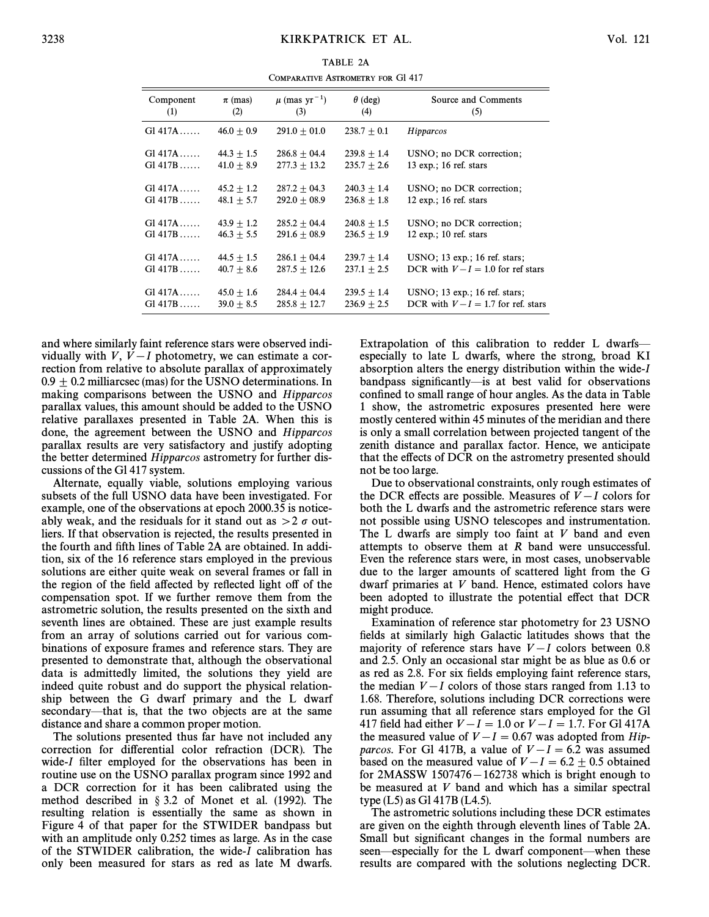TARIE 2A COMPARATIVE ASTROMETRY FOR Gl 417

| Component | $\pi$ (mas)  | $\mu$ (mas yr <sup>-1</sup> ) | $\theta$ (deg)  | Source and Comments                      |
|-----------|--------------|-------------------------------|-----------------|------------------------------------------|
| (1)       | (2)          | (3)                           | (4)             | (5)                                      |
| Gl.417A   | $46.0 + 0.9$ | $291.0 + 01.0$                | $238.7 + 0.1$   | Hipparcos                                |
| $G1417A$  | $44.3 + 1.5$ | $286.8 + 04.4$                | $239.8 + 1.4$   | USNO; no DCR correction;                 |
| $G1417B$  | $41.0 + 8.9$ | $277.3 \pm 13.2$              | $235.7 + 2.6$   | $13 \text{ exp.}; 16 \text{ ref. stars}$ |
| Gl.417A   | $45.2 + 1.2$ | $287.2 + 04.3$                | $240.3 + 1.4$   | USNO; no DCR correction;                 |
| $G1417B$  | $48.1 + 5.7$ | $292.0 + 08.9$                | $236.8 + 1.8$   | $12 \text{ exp.}; 16 \text{ ref. stars}$ |
| $G1417A$  | $43.9 + 1.2$ | $285.2 + 04.4$                | $240.8 + 1.5$   | USNO; no DCR correction;                 |
| $G1417B$  | $46.3 + 5.5$ | $291.6 + 08.9$                | $236.5 \pm 1.9$ | $12 \text{ exp.}; 10 \text{ ref. stars}$ |
| $G1 417A$ | $44.5 + 1.5$ | $286.1 + 04.4$                | $239.7 + 1.4$   | $USNO$ ; 13 exp.; 16 ref. stars;         |
| $G1417B$  | $40.7 + 8.6$ | $287.5 + 12.6$                | $237.1 + 2.5$   | DCR with $V-I = 1.0$ for ref stars       |
| Gl.417A   | $45.0 + 1.6$ | $284.4 + 04.4$                | $239.5 + 1.4$   | $USNO$ ; 13 exp.; 16 ref. stars;         |
| $Gl.417B$ | $39.0 + 8.5$ | $285.8 + 12.7$                | $236.9 + 2.5$   | DCR with $V-I = 1.7$ for ref. stars      |

and where similarly faint reference stars were observed individually with  $V, V-I$  photometry, we can estimate a correction from relative to absolute parallax of approximately  $0.9 + 0.2$  milliarcsec (mas) for the USNO determinations. In making comparisons between the USNO and Hipparcos parallax values, this amount should be added to the USNO relative parallaxes presented in Table 2A. When this is done, the agreement between the USNO and Hipparcos parallax results are very satisfactory and justify adopting the better determined Hipparcos astrometry for further discussions of the Gl 417 system.

Alternate, equally viable, solutions employing various subsets of the full USNO data have been investigated. For example, one of the observations at epoch 2000.35 is noticeably weak, and the residuals for it stand out as  $> 2 \sigma$  outliers. If that observation is rejected, the results presented in the fourth and fifth lines of Table 2A are obtained. In addition, six of the 16 reference stars employed in the previous solutions are either quite weak on several frames or fall in the region of the field affected by reflected light off of the compensation spot. If we further remove them from the astrometric solution, the results presented on the sixth and seventh lines are obtained. These are just example results from an array of solutions carried out for various combinations of exposure frames and reference stars. They are presented to demonstrate that, although the observational data is admittedly limited, the solutions they yield are indeed quite robust and do support the physical relationship between the G dwarf primary and the L dwarf secondary—that is, that the two objects are at the same distance and share a common proper motion.

The solutions presented thus far have not included any correction for differential color refraction (DCR). The wide-I filter employed for the observations has been in routine use on the USNO parallax program since 1992 and a DCR correction for it has been calibrated using the method described in  $\S 3.2$  of Monet et al. (1992). The resulting relation is essentially the same as shown in Figure 4 of that paper for the STWIDER bandpass but with an amplitude only 0.252 times as large. As in the case of the STWIDER calibration, the wide-I calibration has only been measured for stars as red as late M dwarfs. Extrapolation of this calibration to redder L dwarfsespecially to late L dwarfs, where the strong, broad KI absorption alters the energy distribution within the wide-I bandpass significantly—is at best valid for observations confined to small range of hour angles. As the data in Table 1 show, the astrometric exposures presented here were mostly centered within 45 minutes of the meridian and there is only a small correlation between projected tangent of the zenith distance and parallax factor. Hence, we anticipate that the effects of DCR on the astrometry presented should not be too large.

Due to observational constraints, only rough estimates of the DCR effects are possible. Measures of  $V-I$  colors for both the L dwarfs and the astrometric reference stars were not possible using USNO telescopes and instrumentation. The L dwarfs are simply too faint at  $V$  band and even attempts to observe them at R band were unsuccessful. Even the reference stars were, in most cases, unobservable due to the larger amounts of scattered light from the G dwarf primaries at V band. Hence, estimated colors have been adopted to illustrate the potential effect that DCR might produce.

Examination of reference star photometry for 23 USNO fields at similarly high Galactic latitudes shows that the majority of reference stars have  $V-I$  colors between 0.8 and 2.5. Only an occasional star might be as blue as 0.6 or as red as 2.8. For six fields employing faint reference stars, the median  $V-I$  colors of those stars ranged from 1.13 to 1.68. Therefore, solutions including DCR corrections were run assuming that all reference stars employed for the Gl 417 field had either  $V - I = 1.0$  or  $V - I = 1.7$ . For Gl 417A the measured value of  $V-I = 0.67$  was adopted from Hipparcos. For Gl 417B, a value of  $V-I = 6.\overline{2}$  was assumed based on the measured value of  $V-I = 6.2 \pm 0.5$  obtained for  $2MASSW$  1507476 $-162738$  which is bright enough to be measured at V band and which has a similar spectral type (L5) as Gl 417B (L4.5).

The astrometric solutions including these DCR estimates are given on the eighth through eleventh lines of Table 2A. Small but significant changes in the formal numbers are seen—especially for the L dwarf component—when these results are compared with the solutions neglecting DCR.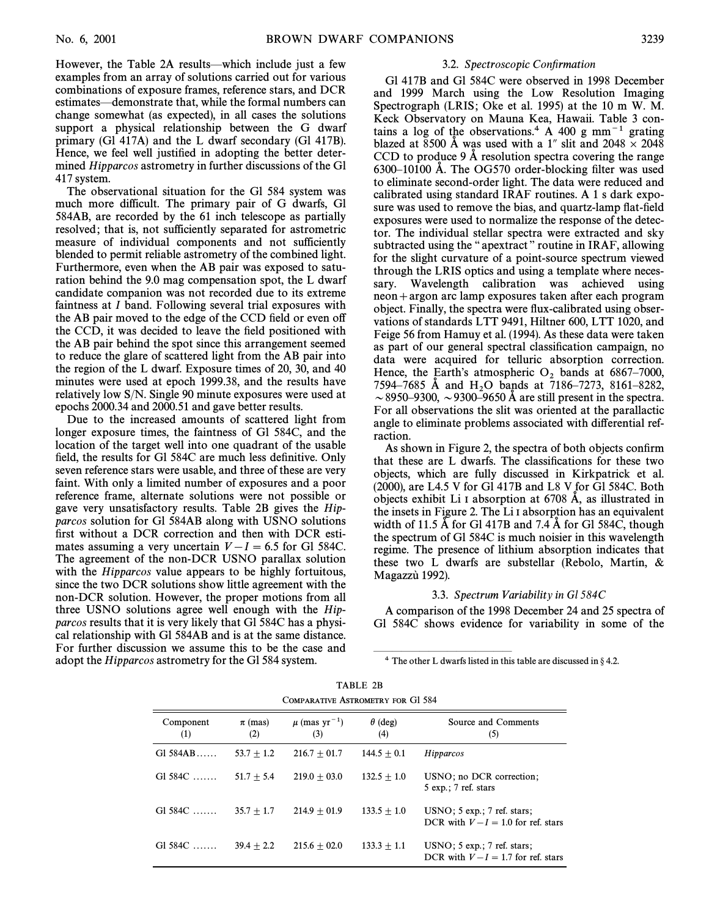However, the Table 2A results—which include just a few examples from an array of solutions carried out for various combinations of exposure frames, reference stars, and DCR estimates—demonstrate that, while the formal numbers can change somewhat (as expected), in all cases the solutions support a physical relationship between the G dwarf primary (Gl 417A) and the L dwarf secondary (Gl 417B). Hence, we feel well justified in adopting the better determined Hipparcos astrometry in further discussions of the Gl 417 system.

The observational situation for the Gl 584 system was much more difficult. The primary pair of G dwarfs, Gl 584AB, are recorded by the 61 inch telescope as partially resolved; that is, not sufficiently separated for astrometric measure of individual components and not sufficiently blended to permit reliable astrometry of the combined light. Furthermore, even when the AB pair was exposed to saturation behind the 9.0 mag compensation spot, the L dwarf candidate companion was not recorded due to its extreme faintness at I band. Following several trial exposures with the AB pair moved to the edge of the CCD field or even off the CCD, it was decided to leave the field positioned with the AB pair behind the spot since this arrangement seemed to reduce the glare of scattered light from the AB pair into the region of the L dwarf. Exposure times of 20, 30, and 40 minutes were used at epoch 1999.38, and the results have relatively low S/N. Single 90 minute exposures were used at epochs 2000.34 and 2000.51 and gave better results.

Due to the increased amounts of scattered light from longer exposure times, the faintness of Gl 584C, and the location of the target well into one quadrant of the usable field, the results for Gl 584C are much less definitive. Only seven reference stars were usable, and three of these are very faint. With only a limited number of exposures and a poor reference frame, alternate solutions were not possible or gave very unsatisfactory results. Table 2B gives the Hipparcos solution for Gl 584AB along with USNO solutions first without a DCR correction and then with DCR estimates assuming a very uncertain  $V-I = 6.5$  for Gl 584C. The agreement of the non-DCR USNO parallax solution with the *Hipparcos* value appears to be highly fortuitous, since the two DCR solutions show little agreement with the non-DCR solution. However, the proper motions from all three USNO solutions agree well enough with the Hipparcos results that it is very likely that Gl 584C has a physical relationship with Gl 584AB and is at the same distance. For further discussion we assume this to be the case and adopt the Hipparcos astrometry for the Gl 584 system.

## 3.2. Spectroscopic Confirmation

Gl 417B and Gl 584C were observed in 1998 December and 1999 March using the Low Resolution Imaging Spectrograph (LRIS; Oke et al. 1995) at the 10 m W. M. Keck Observatory on Mauna Kea, Hawaii. Table 3 contains a log of the observations.<sup>4</sup> A 400 g mm<sup> $-1$ </sup> grating blazed at 8500 Å was used with a 1" slit and  $2048 \times 2048$ CCD to produce  $9 \text{ Å}$  resolution spectra covering the range  $6300-10100$  Å. The OG570 order-blocking filter was used to eliminate second-order light. The data were reduced and calibrated using standard IRAF routines.A1s dark exposure was used to remove the bias, and quartz-lamp flat-field exposures were used to normalize the response of the detector. The individual stellar spectra were extracted and sky subtracted using the "apextract" routine in IRAF, allowing for the slight curvature of a point-source spectrum viewed through the LRIS optics and using a template where necessary. Wavelength calibration was achieved using  $neon + argon$  arc lamp exposures taken after each program object. Finally, the spectra were Ñux-calibrated using observations of standards LTT 9491, Hiltner 600, LTT 1020, and Feige 56 from Hamuy et al. (1994). As these data were taken as part of our general spectral classification campaign, no data were acquired for telluric absorption correction. Hence, the Earth's atmospheric  $O_2$  bands at 6867–7000, 7594–7685 Å and  $H_2O$  bands at 7186–7273, 8161–8282,  $\sim$  8950–9300,  $\sim$  9300–9650 Å are still present in the spectra. For all observations the slit was oriented at the parallactic angle to eliminate problems associated with differential refraction.

As shown in Figure 2, the spectra of both objects confirm that these are L dwarfs. The classifications for these two objects, which are fully discussed in Kirkpatrick et al. (2000), are L4.5 V for Gl 417B and L8 V for Gl 584C. Both objects exhibit Li I absorption at  $6708$  Å, as illustrated in the insets in Figure 2. The Li I absorption has an equivalent width of 11.5  $\AA$  for Gl 417B and 7.4  $\AA$  for Gl 584C, though the spectrum of Gl 584C is much noisier in this wavelength regime. The presence of lithium absorption indicates that these two L dwarfs are substellar (Rebolo, Martín,  $\&$ Magazzu` 1992).

#### 3.3. Spectrum Variability in Gl 584C

A comparison of the 1998 December 24 and 25 spectra of Gl 584C shows evidence for variability in some of the

 $4$  The other L dwarfs listed in this table are discussed in § 4.2.

ÈÈÈÈÈÈÈÈÈÈÈÈÈÈÈ

| TABLE 2B                                 |
|------------------------------------------|
| <b>COMPARATIVE ASTROMETRY FOR G1 584</b> |

| Component<br>(1) | $\pi$ (mas)<br>(2) | $\mu$ (mas yr <sup>-1</sup> )<br>(3) | $\theta$ (deg)<br>(4) | Source and Comments<br>(5)                                            |
|------------------|--------------------|--------------------------------------|-----------------------|-----------------------------------------------------------------------|
| $GI$ 584AB       | $53.7 + 1.2$       | $216.7 + 01.7$                       | $144.5 + 0.1$         | Hipparcos                                                             |
| $G1 584C$        | $51.7 + 5.4$       | $219.0 + 03.0$                       | $132.5 + 1.0$         | USNO: no DCR correction:<br>$5 \exp$ ; 7 ref. stars                   |
| $G1 584C$        | $35.7 + 1.7$       | $214.9 + 01.9$                       | $133.5 + 1.0$         | $USNO$ ; 5 exp.; 7 ref. stars;<br>DCR with $V-I = 1.0$ for ref. stars |
| $G1 584C$        | $39.4 + 2.2$       | $215.6 + 02.0$                       | $133.3 + 1.1$         | $USNO$ ; 5 exp.; 7 ref. stars;<br>DCR with $V-I = 1.7$ for ref. stars |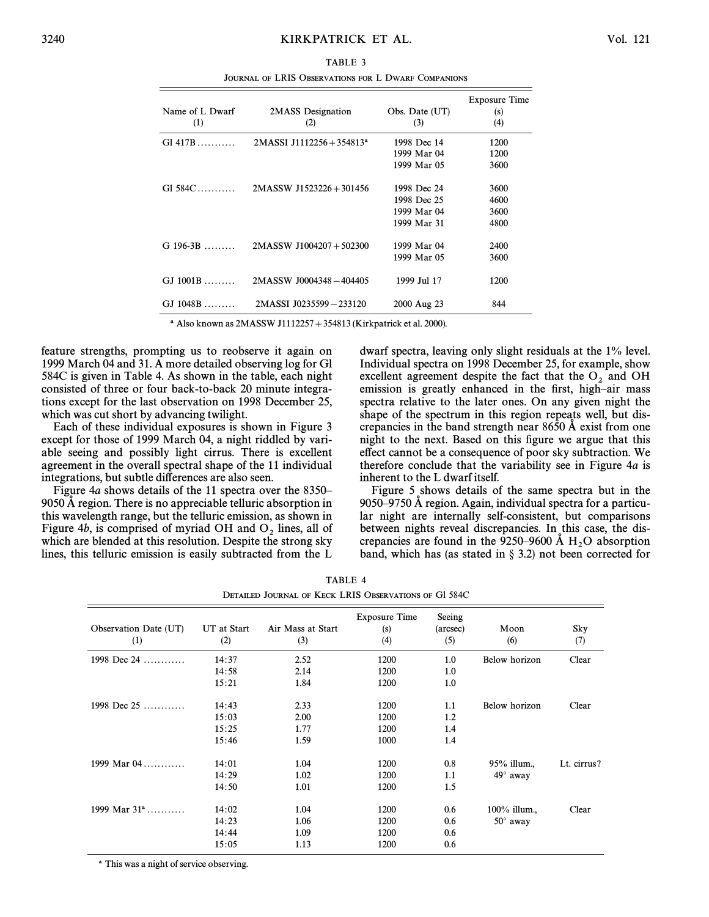TABLE 3 JOURNAL OF LRIS OBSERVATIONS FOR L DWARF COMPANIONS

| Name of L Dwarf<br>(1) | 2MASS Designation<br>(2)                | Obs. Date (UT)<br>(3)                                    | <b>Exposure Time</b><br>(s)<br>(4) |
|------------------------|-----------------------------------------|----------------------------------------------------------|------------------------------------|
| $G1417B$               | $2MASSI$ J1112256 + 354813 <sup>a</sup> | 1998 Dec 14<br>1999 Mar 04<br>1999 Mar 05                | 1200<br>1200<br>3600               |
| $Gl. 584C$             | $2MASSW$ J1523226 + 301456              | 1998 Dec 24<br>1998 Dec 25<br>1999 Mar 04<br>1999 Mar 31 | 3600<br>4600<br>3600<br>4800       |
| $G$ 196-3B             | $2MASSW$ J1004207 + 502300              | 1999 Mar 04<br>1999 Mar 05                               | 2400<br>3600                       |
| $GJ$ 1001B             | 2MASSW J0004348-404405                  | 1999 Jul 17                                              | 1200                               |
| $GJ$ 1048B             | 2MASSI J0235599-233120                  | 2000 Aug 23                                              | 844                                |

 $^a$  Also known as 2MASSW J1112257 + 354813 (Kirkpatrick et al. 2000).

feature strengths, prompting us to reobserve it again on 1999 March 04 and 31. A more detailed observing log for Gl 584C is given in Table 4. As shown in the table, each night consisted of three or four back-to-back 20 minute integrations except for the last observation on 1998 December 25, which was cut short by advancing twilight.

Each of these individual exposures is shown in Figure 3 except for those of 1999 March 04, a night riddled by variable seeing and possibly light cirrus. There is excellent agreement in the overall spectral shape of the 11 individual integrations, but subtle differences are also seen.

Figure 4a shows details of the 11 spectra over the  $8350$ – 9050 A region. There is no appreciable telluric absorption in this wavelength range, but the telluric emission, as shown in Figure 4b, is comprised of myriad OH and  $O_2$  lines, all of which are blended at this resolution. Despite the strong sky lines, this telluric emission is easily subtracted from the L dwarf spectra, leaving only slight residuals at the 1% level. Individual spectra on 1998 December 25, for example, show excellent agreement despite the fact that the  $O_2$  and OH emission is greatly enhanced in the first, high–air mass spectra relative to the later ones. On any given night the shape of the spectrum in this region repeats well, but discrepancies in the band strength near  $8650 \text{ Å}$  exist from one night to the next. Based on this figure we argue that this effect cannot be a consequence of poor sky subtraction. We therefore conclude that the variability see in Figure 4a is inherent to the L dwarf itself.

Figure 5 shows details of the same spectra but in the  $9050-9750$  Å region. Again, individual spectra for a particular night are internally self-consistent, but comparisons between nights reveal discrepancies. In this case, the discrepancies are found in the 9250–9600 Å  $H_2O$  absorption hand which has (as stated in  $\frac{8}{3}$ , 3.2) not been corrected for band, which has (as stated in  $\S$  3.2) not been corrected for

| TABLE 4                                                      |  |
|--------------------------------------------------------------|--|
| <b>DETAILED JOURNAL OF KECK LRIS OBSERVATIONS OF G1 584C</b> |  |

| Observation Date (UT)<br>(1) | UT at Start<br>(2) | Air Mass at Start<br>(3) | <b>Exposure Time</b><br>(s)<br>(4) | Seeing<br>(arcsec)<br>(5) | Moon<br>(6)     | Sky<br>(7)  |
|------------------------------|--------------------|--------------------------|------------------------------------|---------------------------|-----------------|-------------|
| 1998 Dec 24                  | 14:37              | 2.52                     | 1200                               | 1.0                       | Below horizon   | Clear       |
|                              | 14:58              | 2.14                     | 1200                               | 1.0                       |                 |             |
|                              | 15:21              | 1.84                     | 1200                               | 1.0                       |                 |             |
| 1998 Dec $25$                | 14:43              | 2.33                     | 1200                               | 1.1                       | Below horizon   | Clear       |
|                              | 15:03              | 2.00                     | 1200                               | 1.2                       |                 |             |
|                              | 15:25              | 1.77                     | 1200                               | 1.4                       |                 |             |
|                              | 15:46              | 1.59                     | 1000                               | 1.4                       |                 |             |
| 1999 Mar $04$                | 14:01              | 1.04                     | 1200                               | 0.8                       | 95% illum.,     | Lt. cirrus? |
|                              | 14:29              | 1.02                     | 1200                               | 1.1                       | $49^\circ$ away |             |
|                              | 14:50              | 1.01                     | 1200                               | 1.5                       |                 |             |
| 1999 Mar $31^{\circ}$        | 14:02              | 1.04                     | 1200                               | 0.6                       | $100\%$ illum.  | Clear       |
|                              | 14:23              | 1.06                     | 1200                               | 0.6                       | $50^\circ$ away |             |
|                              | 14:44              | 1.09                     | 1200                               | 0.6                       |                 |             |
|                              |                    |                          |                                    |                           |                 |             |
|                              | 15:05              | 1.13                     | 1200                               | 0.6                       |                 |             |

a This was a night of service observing.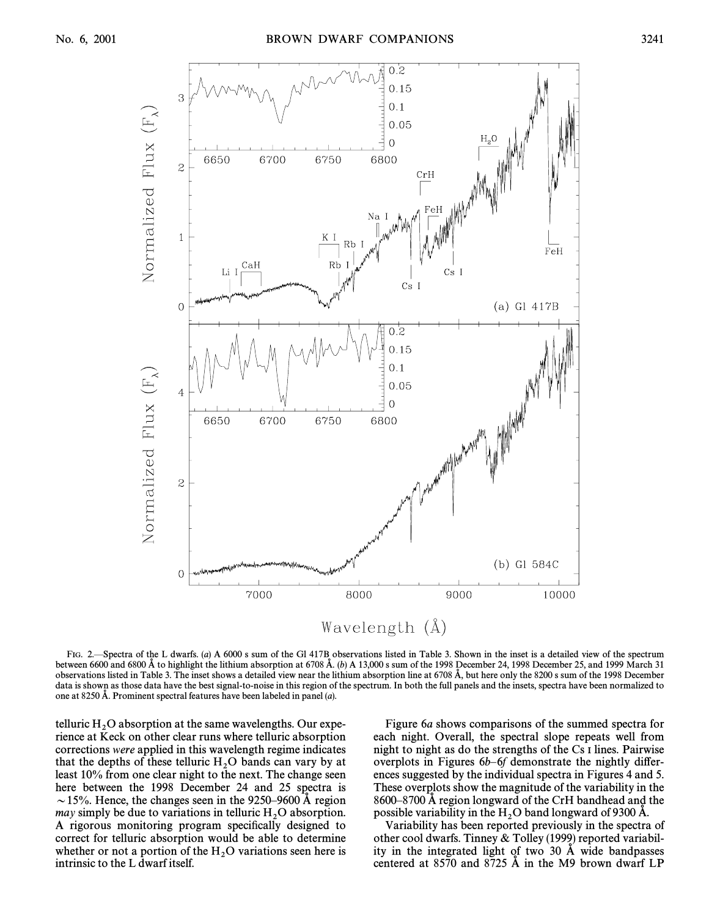

FIG. 2—Spectra of the L dwarfs. (a) A 6000 s sum of the Gl 417B observations listed in Table 3. Shown in the inset is a detailed view of the spectrum between 6600 and 6800 Å to highlight the lithium absorption at 6708 Å. (b) A 13,000 s sum of the 1998 December 24, 1998 December 25, and 1999 March 31 observations listed in Table 3. The inset shows a detailed view near the lithium absorption line at 6708 Å, but here only the 8200 s sum of the 1998 December data is shown as those data have the best signal-to-noise in this region of the spectrum. In both the full panels and the insets, spectra have been normalized to one at 8250 Å. Prominent spectral features have been labeled in panel  $(a)$ .

telluric  $H_2O$  absorption at the same wavelengths. Our experience at Keek on other clear runs where telluric absorption rience at Keck on other clear runs where telluric absorption corrections were applied in this wavelength regime indicates that the depths of these telluric  $H_2O$  bands can vary by at  $He$  at  $10\%$  from one clear night to the next. The change seen least 10% from one clear night to the next. The change seen here between the 1998 December 24 and 25 spectra is  $\sim$  15%. Hence, the changes seen in the 9250–9600 Å region may simply be due to variations in telluric  $H_2O$  absorption.<br>A rigorous monitoring program specifically designed to A rigorous monitoring program specifically designed to correct for telluric absorption would be able to determine whether or not a portion of the  $H_2O$  variations seen here is intrinsic to the L dwarf itself intrinsic to the L dwarf itself.

Figure 6a shows comparisons of the summed spectra for each night. Overall, the spectral slope repeats well from night to night as do the strengths of the Cs I lines. Pairwise overplots in Figures  $6b-6f$  demonstrate the nightly differences suggested by the individual spectra in Figures 4 and 5. These overplots show the magnitude of the variability in the 8600–8700 Å region longward of the CrH bandhead and the possible variability in the  $H_2O$  band longward of 9300 Å.<br>Variability has been reported previously in the spectra

Variability has been reported previously in the spectra of other cool dwarfs. Tinney & Tolley (1999) reported variability in the integrated light of two  $30$  Å wide bandpasses centered at  $8570$  and  $8725$  Å in the M9 brown dwarf LP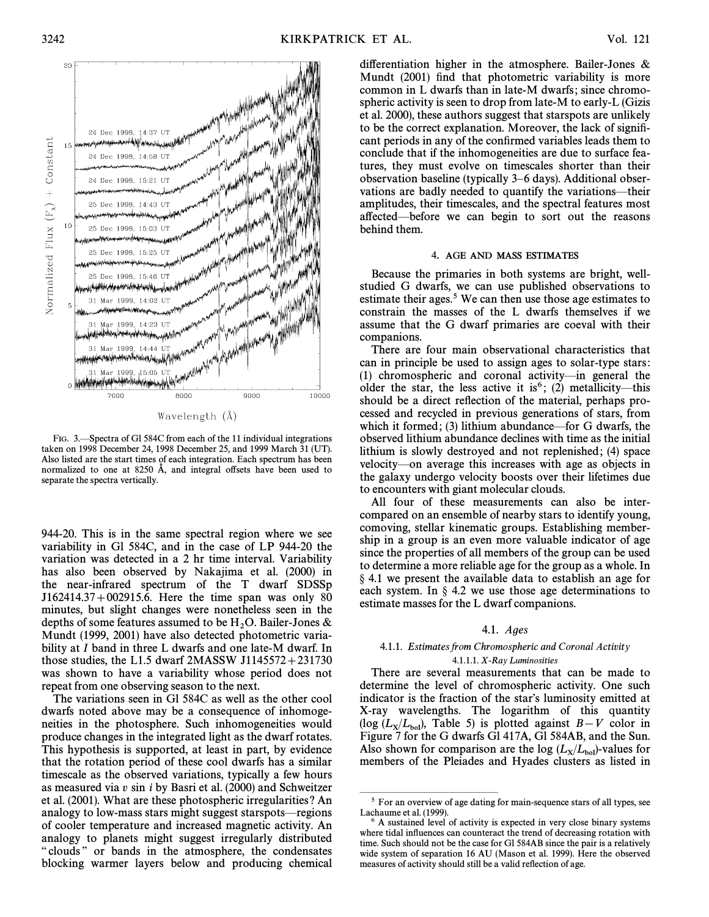

Wavelength (Å)

FIG. 3. Spectra of Gl 584C from each of the 11 individual integrations taken on 1998 December 24, 1998 December 25, and 1999 March 31 (UT). Also listed are the start times of each integration. Each spectrum has been normalized to one at 8250 Å, and integral offsets have been used to separate the spectra vertically.

944-20. This is in the same spectral region where we see variability in Gl 584C, and in the case of LP 944-20 the variation was detected in a 2 hr time interval. Variability has also been observed by Nakajima et al. (2000) in the near-infrared spectrum of the T dwarf SDSSp  $J162414.37 + 002915.6$ . Here the time span was only 80 minutes, but slight changes were nonetheless seen in the depths of some features assumed to be  $H_2O$ . Bailer-Jones &  $M$ Mundt (1999, 2001) have also detected photometric variability at I band in three L dwarfs and one late-M dwarf. In those studies, the L1.5 dwarf  $2MASSW$  J1145572 + 231730 was shown to have a variability whose period does not repeat from one observing season to the next.

The variations seen in Gl 584C as well as the other cool dwarfs noted above may be a consequence of inhomogeneities in the photosphere. Such inhomogeneities would produce changes in the integrated light as the dwarf rotates. This hypothesis is supported, at least in part, by evidence that the rotation period of these cool dwarfs has a similar timescale as the observed variations, typically a few hours as measured via v sin i by Basri et al. (2000) and Schweitzer et al. (2001). What are these photospheric irregularities ? An analogy to low-mass stars might suggest starspots—regions of cooler temperature and increased magnetic activity. An analogy to planets might suggest irregularly distributed " clouds" or bands in the atmosphere, the condensates blocking warmer layers below and producing chemical

differentiation higher in the atmosphere. Bailer-Jones  $\&$ Mundt (2001) find that photometric variability is more common in L dwarfs than in late-M dwarfs; since chromospheric activity is seen to drop from late-M to early-L (Gizis et al. 2000), these authors suggest that starspots are unlikely to be the correct explanation. Moreover, the lack of signiÐcant periods in any of the confirmed variables leads them to conclude that if the inhomogeneities are due to surface features, they must evolve on timescales shorter than their observation baseline (typically 3–6 days). Additional observations are badly needed to quantify the variations—their amplitudes, their timescales, and the spectral features most affected—before we can begin to sort out the reasons behind them.

#### 4. AGE AND MASS ESTIMATES

Because the primaries in both systems are bright, wellstudied G dwarfs, we can use published observations to estimate their ages.<sup>5</sup> We can then use those age estimates to constrain the masses of the L dwarfs themselves if we assume that the G dwarf primaries are coeval with their companions.

There are four main observational characteristics that can in principle be used to assign ages to solar-type stars : (1) chromospheric and coronal activity—in general the older the star, the less active it is<sup>6</sup>; (2) metallicity—this should be a direct reflection of the material, perhaps processed and recycled in previous generations of stars, from which it formed; (3) lithium abundance—for G dwarfs, the observed lithium abundance declines with time as the initial lithium is slowly destroyed and not replenished; (4) space velocity—on average this increases with age as objects in the galaxy undergo velocity boosts over their lifetimes due to encounters with giant molecular clouds.

All four of these measurements can also be intercompared on an ensemble of nearby stars to identify young, comoving, stellar kinematic groups. Establishing membership in a group is an even more valuable indicator of age since the properties of all members of the group can be used to determine a more reliable age for the group as a whole. In  $§$  4.1 we present the available data to establish an age for each system. In  $\S$  4.2 we use those age determinations to estimate masses for the L dwarf companions.

#### 4.1. Ages

# 4.1.1. Estimates from Chromospheric and Coronal Activity

## 4.1.1.1.  $X$ -Ray Luminosities

There are several measurements that can be made to determine the level of chromospheric activity. One such indicator is the fraction of the star's luminosity emitted at X-ray wavelengths. The logarithm of this quantity ( $log (L_X/L_{bol})$ , Table 5) is plotted against  $B-V$  color in Figure 7 for the G dwarfs Gl 417A, Gl 584AB, and the Sun Figure 7 for the G dwarfs Gl 417A, Gl 584AB, and the Sun. Also shown for comparison are the  $log (L_X/L_{bol})$ -values for members of the Pleiades and Hyades clusters as listed in members of the Pleiades and Hyades clusters as listed in

ÈÈÈÈÈÈÈÈÈÈÈÈÈÈÈ

<sup>&</sup>lt;sup>5</sup> For an overview of age dating for main-sequence stars of all types, see Lachaume et al. (1999).

<sup>6</sup> A sustained level of activity is expected in very close binary systems where tidal influences can counteract the trend of decreasing rotation with time. Such should not be the case for Gl 584AB since the pair is a relatively wide system of separation 16 AU (Mason et al. 1999). Here the observed measures of activity should still be a valid reflection of age.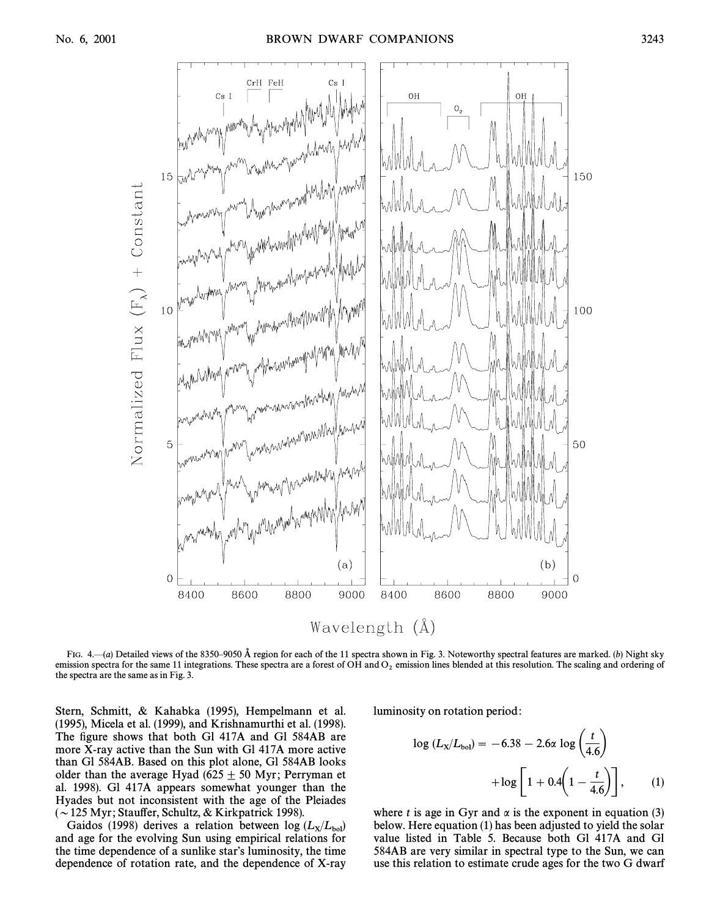

FIG.  $4-(a)$  Detailed views of the 8350–9050 Å region for each of the 11 spectra shown in Fig. 3. Noteworthy spectral features are marked. (b) Night sky emission spectra for the same 11 integrations. These spectra are a forest of OH and  $O_2$  emission lines blended at this resolution. The scaling and ordering of the spectra are the same as in Fig. 3.

Stern, Schmitt, & Kahabka (1995), Hempelmann et al. (1995), Micela et al. (1999), and Krishnamurthi et al. (1998). The figure shows that both Gl 417A and Gl 584AB are more X-ray active than the Sun with Gl 417A more active than Gl 584AB. Based on this plot alone, Gl 584AB looks older than the average Hyad (625  $\pm$  50 Myr; Perryman et al. 1998). Gl 417A appears somewhat younger than the Hyades but not inconsistent with the age of the Pleiades  $\sim$  125 Myr; Stauffer, Schultz, & Kirkpatrick 1998).

Gaidos (1998) derives a relation between  $\log (L_x/L_{bol})$ <br>d age for the evolving Sun using empirical relations for and age for the evolving Sun using empirical relations for the time dependence of a sunlike star's luminosity, the time dependence of rotation rate, and the dependence of X-ray luminosity on rotation period :

$$
\log (L_{\rm X}/L_{\rm bol}) = -6.38 - 2.6\alpha \log \left(\frac{t}{4.6}\right) + \log \left[1 + 0.4\left(1 - \frac{t}{4.6}\right)\right],\qquad(1)
$$

where t is age in Gyr and  $\alpha$  is the exponent in equation (3) below. Here equation (1) has been adjusted to yield the solar value listed in Table 5. Because both Gl 417A and Gl 584AB are very similar in spectral type to the Sun, we can use this relation to estimate crude ages for the two G dwarf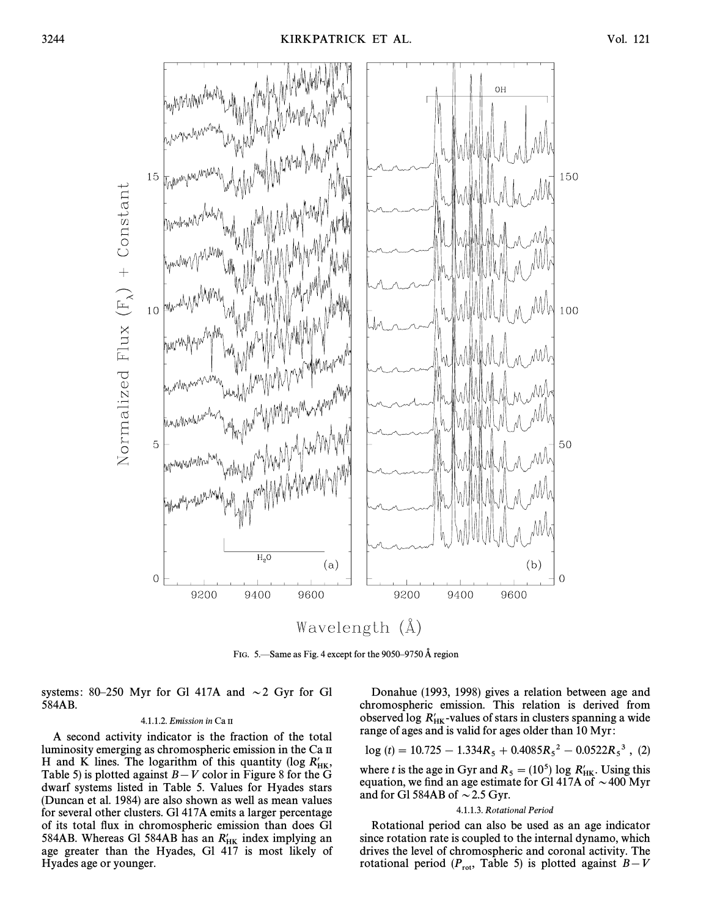

FIG. 5.—Same as Fig. 4 except for the 9050–9750 Å region

systems: 80–250 Myr for Gl 417A and  $\sim$  2 Gyr for Gl 584AB.

#### 4.1.1.2. Emission in Ca II

A second activity indicator is the fraction of the total luminosity emerging as chromospheric emission in the Ca II H and K lines. The logarithm of this quantity (log  $R'_{HK}$ , Table 5) is plotted against  $B-V$  color in Figure 8 for the G dwarf systems listed in Table 5. Values for Hyades stars (Duncan et al. 1984) are also shown as well as mean values for several other clusters. Gl 417A emits a larger percentage of its total flux in chromospheric emission than does Gl 584AB. Whereas Gl 584AB has an  $R'_{HK}$  index implying an age greater than the Hyades, Gl 417 is most likely of Hyades age or younger.

Donahue (1993, 1998) gives a relation between age and chromospheric emission. This relation is derived from observed log  $R'_{HK}$ -values of stars in clusters spanning a wide range of ages and is valid for ages older than 10 Myr :

$$
\log(t) = 10.725 - 1.334R_5 + 0.4085R_5^2 - 0.0522R_5^3
$$
, (2)

where t is the age in Gyr and  $R_5 = (10^5) \log R'_{HK}$ . Using this equation, we find an age estimate for Gl 417A of  $\sim$  400 Myr and for Gl 584AB of  $\sim$  2.5 Gyr.

#### 4.1.1.3. Rotational Period

Rotational period can also be used as an age indicator since rotation rate is coupled to the internal dynamo, which drives the level of chromospheric and coronal activity. The rotational period ( $P_{\text{rot}}$ , Table 5) is plotted against  $B-V$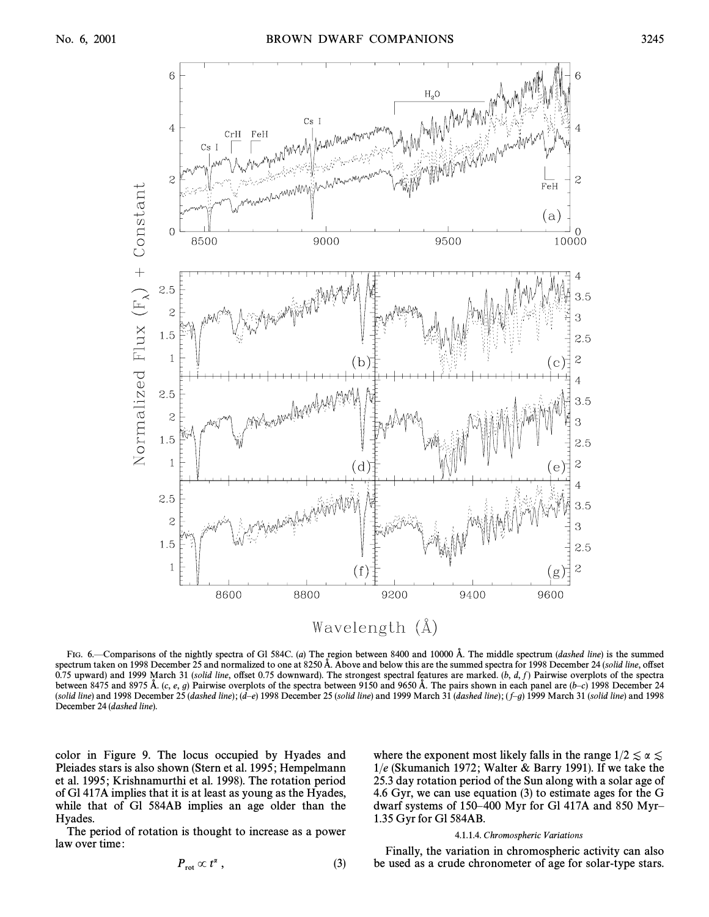

FIG.  $6$ —Comparisons of the nightly spectra of Gl 584C. (a) The region between 8400 and 10000 Å. The middle spectrum (*dashed line*) is the summed spectrum taken on 1998 December 25 and normalized to one at 8250 Å. Above and below this are the summed spectra for 1998 December 24 (solid line, offset 0.75 upward) and 1999 March 31 (solid line, offset 0.75 downward). The strongest spectral features are marked.  $(b, d, f)$  Pairwise overplots of the spectra between 8475 and 8975 Å.  $(c, e, g)$  Pairwise overplots of the spectra between 9150 and 9650 Å. The pairs shown in each panel are  $(b-c)$  1998 December 24 (solid line) and 1998 December 25 (dashed line); (d–e) 1998 December 25 (solid line) and 1999 March 31 (dashed line); (f–g) 1999 March 31 (solid line) and 1998 December 24 (dashed line).

color in Figure 9. The locus occupied by Hyades and Pleiades stars is also shown (Stern et al. 1995; Hempelmann et al. 1995; Krishnamurthi et al. 1998). The rotation period of Gl 417A implies that it is at least as young as the Hyades, while that of Gl 584AB implies an age older than the Hyades.

The period of rotation is thought to increase as a power law over time:

$$
P_{\rm rot} \propto t^{\alpha} \,, \tag{3}
$$

where the exponent most likely falls in the range  $1/2 \le \alpha \le$  $1/e$  (Skumanich 1972; Walter & Barry 1991). If we take the 25.3 day rotation period of the Sun along with a solar age of 4.6 Gyr, we can use equation (3) to estimate ages for the G dwarf systems of 150–400 Myr for Gl 417A and 850 Myr– 1.35 Gyr for Gl 584AB.

#### 4.1.1.4. Chromospheric Variations

Finally, the variation in chromospheric activity can also be used as a crude chronometer of age for solar-type stars.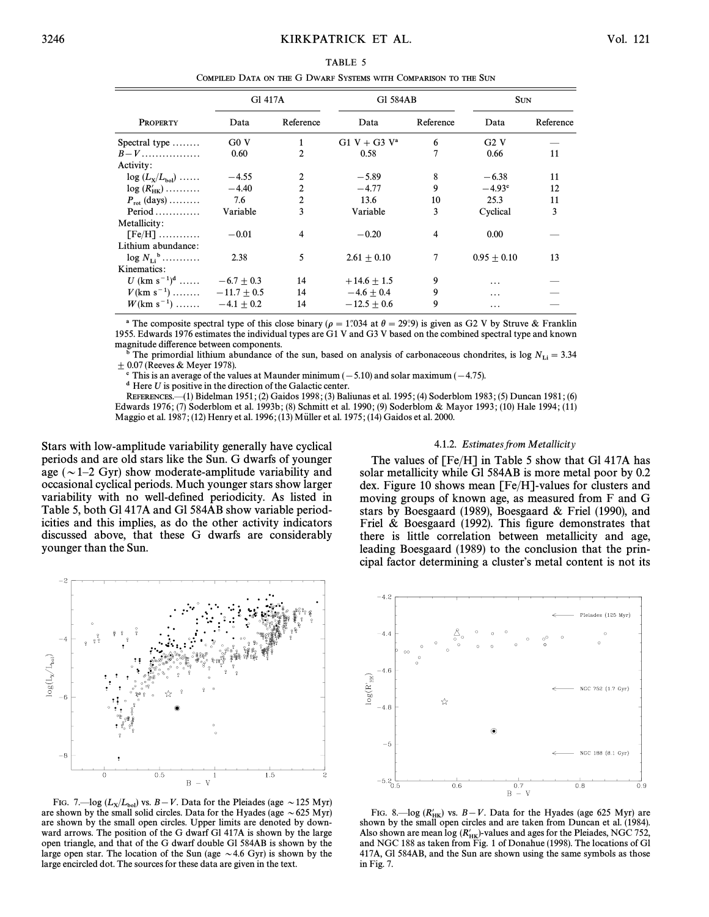|                                                   | G1 417A      |                | G1 584AB        |           | <b>SUN</b>      |           |
|---------------------------------------------------|--------------|----------------|-----------------|-----------|-----------------|-----------|
| <b>PROPERTY</b>                                   | Data         | Reference      | Data            | Reference | Data            | Reference |
| Spectral type                                     | G0V          | $\mathbf{1}$   | $G1 V + G3 V^a$ | 6         | G2V             |           |
| $B-V$                                             | 0.60         | 2              | 0.58            | 7         | 0.66            | 11        |
| Activity:                                         |              |                |                 |           |                 |           |
| $log (L_x/L_{bol})$                               | $-4.55$      | 2              | $-5.89$         | 8         | $-6.38$         | 11        |
| $log(R'_{HK})$                                    | $-4.40$      | 2              | $-4.77$         | 9         | $-4.93^{\circ}$ | 12        |
| $P_{\rm rot}$ (days)                              | 7.6          | $\overline{c}$ | 13.6            | 10        | 25.3            | 11        |
| Period $\dots \dots$                              | Variable     | 3              | Variable        | 3         | Cyclical        | 3         |
| Metallicity:                                      |              |                |                 |           |                 |           |
| $[Fe/H]$                                          | $-0.01$      | 4              | $-0.20$         | 4         | 0.00            |           |
| Lithium abundance:                                |              |                |                 |           |                 |           |
| $\log N_{\rm H}$ <sup>b</sup>                     | 2.38         | 5              | $2.61 + 0.10$   | 7         | $0.95 + 0.10$   | 13        |
| Kinematics:                                       |              |                |                 |           |                 |           |
| U (km s <sup>-1</sup> ) <sup>d</sup> $-6.7 + 0.3$ |              | 14             | $+14.6 \pm 1.5$ | 9         | .               |           |
| $V(\text{km s}^{-1})$ $-11.7 \pm 0.5$             |              | 14             | $-4.6 + 0.4$    | 9         | .               |           |
| $W(km s^{-1})$                                    | $-4.1 + 0.2$ | 14             | $-12.5 + 0.6$   | 9         | .               |           |

TABLE 5 COMPILED DATA ON THE G DWARF SYSTEMS WITH COMPARISON TO THE SUN

<sup>a</sup> The composite spectral type of this close binary ( $\rho = 1$ ''034 at  $\theta = 29$ °.) is given as G2 V by Struve & Franklin 1955. Edwards 1976 estimates the individual types are G1 V and G3 V based on the combined spectral type and known magnitude difference between components.

The primordial lithium abundance of the sun, based on analysis of carbonaceous chondrites, is log  $N_{\text{Li}} = 3.34$  $\pm$  0.07 (Reeves & Meyer 1978).

 $\textdegree$  This is an average of the values at Maunder minimum (-5.10) and solar maximum (-4.75).

 $d$  Here U is positive in the direction of the Galactic center.

REFERENCES.—(1) Bidelman 1951; (2) Gaidos 1998; (3) Baliunas et al. 1995; (4) Soderblom 1983; (5) Duncan 1981; (6) Edwards 1976; (7) Soderblom et al. 1993b; (8) Schmitt et al. 1990; (9) Soderblom & Mayor 1993; (10) Hale 1994; (11) Maggio et al. 1987; (12) Henry et al. 1996; (13) Müller et al. 1975; (14) Gaidos et al. 2000.

Stars with low-amplitude variability generally have cyclical periods and are old stars like the Sun. G dwarfs of younger age ( $\sim$  1–2 Gyr) show moderate-amplitude variability and occasional cyclical periods. Much younger stars show larger variability with no well-defined periodicity. As listed in Table 5, both Gl 417A and Gl 584AB show variable periodicities and this implies, as do the other activity indicators discussed above, that these G dwarfs are considerably younger than the Sun.

#### 4.1.2. Estimates from Metallicity

The values of [Fe/H] in Table 5 show that Gl 417A has solar metallicity while Gl 584AB is more metal poor by 0.2 dex. Figure 10 shows mean  $[Fe/H]$ -values for clusters and moving groups of known age, as measured from F and G stars by Boesgaard (1989), Boesgaard & Friel (1990), and Friel & Boesgaard (1992). This figure demonstrates that there is little correlation between metallicity and age, leading Boesgaard (1989) to the conclusion that the principal factor determining a cluster's metal content is not its



FIG. 7.—log ( $L_x/L_{bol}$ ) vs.  $B-V$ . Data for the Pleiades (age ~125 Myr) are shown by the small solid circles. Data for the Hyades (age  $\sim$  625 Myr) are shown by the small open circles. Upper limits are denoted by downward arrows. The position of the G dwarf Gl 417A is shown by the large open triangle, and that of the G dwarf double Gl 584AB is shown by the large open star. The location of the Sun (age  $\sim$  4.6 Gyr) is shown by the large encircled dot. The sources for these data are given in the text.



FIG. 8.—log ( $R'_{HK}$ ) vs.  $B-V$ . Data for the Hyades (age 625 Myr) are shown by the small open circles and are taken from Duncan et al. (1984). Also shown are mean log  $(R'_{HK})$ -values and ages for the Pleiades, NGC 752, and NGC 188 as taken from Fig. 1 of Donahue (1998). The locations of Gl 417A, GI 584AB, and the Sun are shown using the same symbols as those in Fig. 7.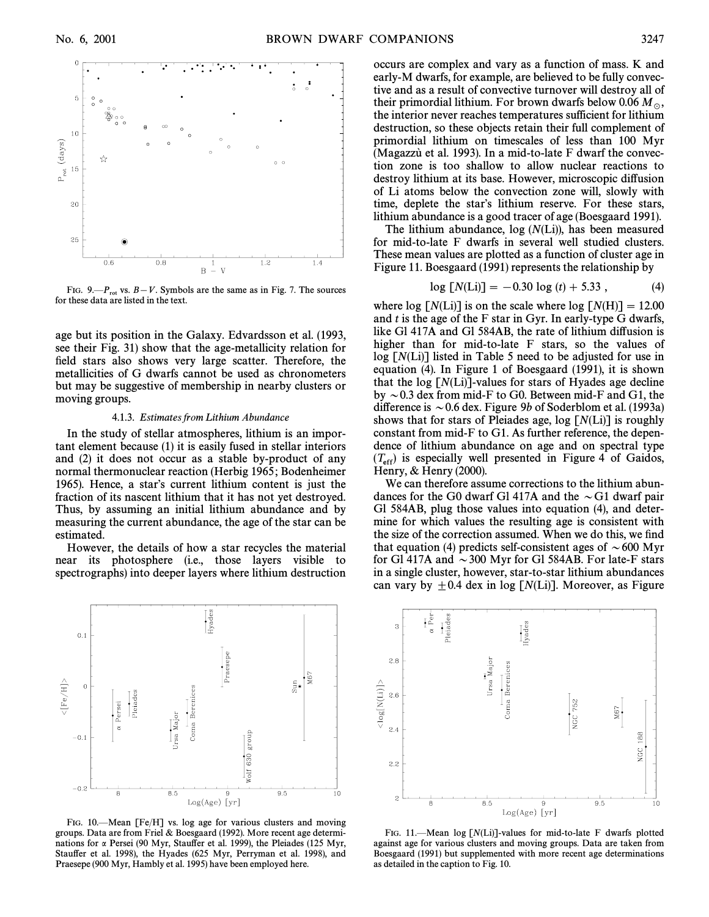

FIG. 9 $-P_{rot}$  vs.  $B-V$ . Symbols are the same as in Fig. 7. The sources for these data are listed in the text.

age but its position in the Galaxy. Edvardsson et al. (1993, see their Fig. 31) show that the age-metallicity relation for field stars also shows very large scatter. Therefore, the metallicities of G dwarfs cannot be used as chronometers but may be suggestive of membership in nearby clusters or moving groups.

#### 4.1.3. Estimates from Lithium Abundance

In the study of stellar atmospheres, lithium is an important element because (1) it is easily fused in stellar interiors and (2) it does not occur as a stable by-product of any normal thermonuclear reaction (Herbig 1965 ; Bodenheimer 1965). Hence, a star's current lithium content is just the fraction of its nascent lithium that it has not yet destroyed. Thus, by assuming an initial lithium abundance and by measuring the current abundance, the age of the star can be estimated.

However, the details of how a star recycles the material near its photosphere (i.e., those layers visible to spectrographs) into deeper layers where lithium destruction



FIG. 10.<sup>-</sup>Mean [Fe/H] vs. log age for various clusters and moving groups. Data are from Friel & Boesgaard (1992). More recent age determinations for  $\alpha$  Persei (90 Myr, Stauffer et al. 1999), the Pleiades (125 Myr, Stauffer et al. 1998), the Hyades (625 Myr, Perryman et al. 1998), and Praesepe (900 Myr, Hambly et al. 1995) have been employed here.

occurs are complex and vary as a function of mass. K and early-M dwarfs, for example, are believed to be fully convective and as a result of convective turnover will destroy all of their primordial lithium. For brown dwarfs below 0.06  $M_{\odot}$ , the interior never reaches temperatures sufficient for lithium destruction, so these objects retain their full complement of primordial lithium on timescales of less than 100 Myr (Magazzu` et al. 1993). In a mid-to-late  $F$  dwarf the convection zone is too shallow to allow nuclear reactions to destroy lithium at its base. However, microscopic diffusion of Li atoms below the convection zone will, slowly with time, deplete the star's lithium reserve. For these stars, lithium abundance is a good tracer of age (Boesgaard 1991).

The lithium abundance,  $log(N(Li))$ , has been measured for mid-to-late F dwarfs in several well studied clusters. These mean values are plotted as a function of cluster age in Figure 11. Boesgaard (1991) represents the relationship by

$$
\log [N(\text{Li})] = -0.30 \log (t) + 5.33 , \tag{4}
$$

where log  $[N(L)]$  is on the scale where log  $[N(H)] = 12.00$ and  $t$  is the age of the F star in Gyr. In early-type G dwarfs, like Gl 417A and Gl 584AB, the rate of lithium diffusion is higher than for mid-to-late F stars, so the values of  $log [N(L)]$  listed in Table 5 need to be adjusted for use in equation (4). In Figure 1 of Boesgaard (1991), it is shown that the log  $[N(L)]$ -values for stars of Hyades age decline by  $\sim$  0.3 dex from mid-F to G0. Between mid-F and G1, the difference is  $\sim$  0.6 dex. Figure 9b of Soderblom et al. (1993a) shows that for stars of Pleiades age,  $log [N(L)]$  is roughly constant from mid-F to G1. As further reference, the dependence of lithium abundance on age and on spectral type  $(T_{\rm eff})$  is especially well presented in Figure 4 of Gaidos, Henry, & Henry (2000).

We can therefore assume corrections to the lithium abundances for the G0 dwarf Gl 417A and the  $\sim$  G1 dwarf pair Gl 584AB, plug those values into equation (4), and determine for which values the resulting age is consistent with the size of the correction assumed. When we do this, we find that equation (4) predicts self-consistent ages of  $\sim 600$  Myr for Gl 417A and  $\sim$  300 Myr for Gl 584AB. For late-F stars in a single cluster, however, star-to-star lithium abundances can vary by  $\pm 0.4$  dex in log [N(Li)]. Moreover, as Figure



FIG. 11. – Mean log  $[N(L)]$ -values for mid-to-late F dwarfs plotted against age for various clusters and moving groups. Data are taken from Boesgaard (1991) but supplemented with more recent age determinations as detailed in the caption to Fig. 10.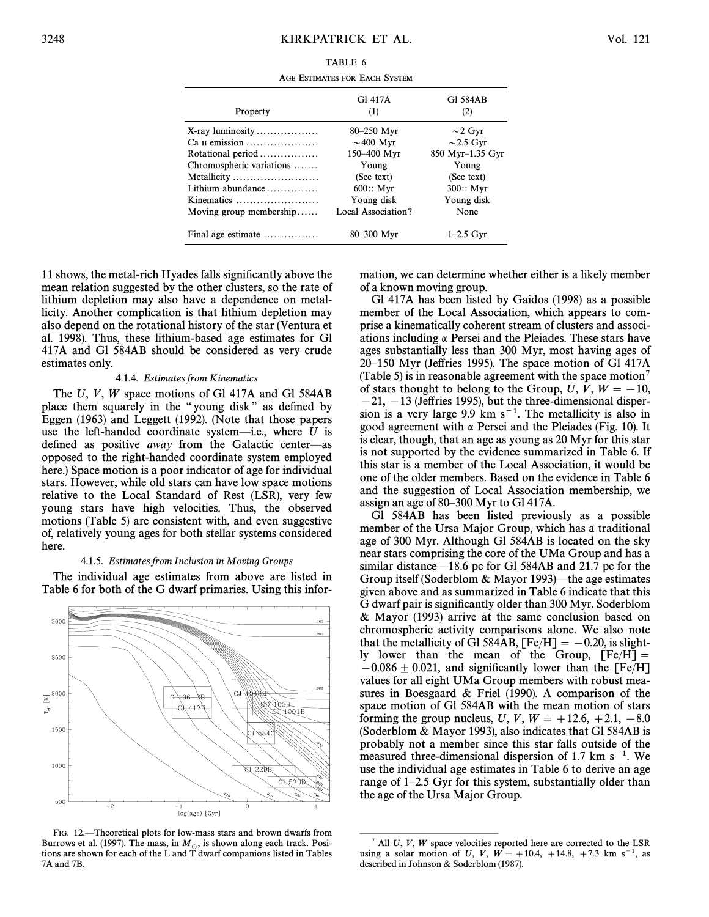| TABLE 6                       |  |  |
|-------------------------------|--|--|
| AGE ESTIMATES FOR EACH SYSTEM |  |  |

| Property                                       | G1 417A<br>(1)     | G1 584AB<br>(2)  |
|------------------------------------------------|--------------------|------------------|
| $X$ -ray luminosity                            | 80–250 Myr         | $\sim$ 2 Gyr     |
| Ca II emission                                 | $\sim$ 400 Myr     | $\sim$ 2.5 Gyr   |
| Rotational period                              | 150-400 Myr        | 850 Myr-1.35 Gyr |
| Chromospheric variations                       | Young              | Young            |
| Metallicity                                    | (See text)         | (See text)       |
| Lithium abundance                              | 600::Myr           | 300::Myr         |
| Kinematics                                     | Young disk         | Young disk       |
| Moving group membership                        | Local Association? | None             |
| Final age estimate $\dots\dots\dots\dots\dots$ | 80-300 Myr         | $1-2.5$ Gyr      |

11 shows, the metal-rich Hyades falls significantly above the mean relation suggested by the other clusters, so the rate of lithium depletion may also have a dependence on metallicity. Another complication is that lithium depletion may also depend on the rotational history of the star (Ventura et al. 1998). Thus, these lithium-based age estimates for Gl 417A and Gl 584AB should be considered as very crude estimates only.

#### 4.1.4. Estimates from Kinematics

The U, V, W space motions of Gl 417A and Gl 584AB place them squarely in the "young disk" as defined by Eggen (1963) and Leggett (1992). (Note that those papers use the left-handed coordinate system-i.e., where  $U$  is defined as positive away from the Galactic center-as opposed to the right-handed coordinate system employed here.) Space motion is a poor indicator of age for individual stars. However, while old stars can have low space motions relative to the Local Standard of Rest (LSR), very few young stars have high velocities. Thus, the observed motions (Table 5) are consistent with, and even suggestive of, relatively young ages for both stellar systems considered here.

#### 4.1.5. Estimates from Inclusion in Moving Groups

The individual age estimates from above are listed in Table 6 for both of the G dwarf primaries. Using this infor-



FIG. 12. Theoretical plots for low-mass stars and brown dwarfs from Burrows et al. (1997). The mass, in  $M_{\odot}$ , is shown along each track. Positions are shown for each of the L and T dwarf companions listed in Tables 7A and 7B.

mation, we can determine whether either is a likely member of a known moving group.

Gl 417A has been listed by Gaidos (1998) as a possible member of the Local Association, which appears to comprise a kinematically coherent stream of clusters and associations including  $\alpha$  Persei and the Pleiades. These stars have ages substantially less than 300 Myr, most having ages of 20–150 Myr (Jeffries 1995). The space motion of Gl 417A (Table 5) is in reasonable agreement with the space motion<sup>7</sup> of stars thought to belong to the Group, U, V,  $W = -10$ ,  $-21, -13$  (Jeffries 1995), but the three-dimensional dispersion is a very large 9.9 km  $s^{-1}$ . The metallicity is also in good agreement with  $\alpha$  Persei and the Pleiades (Fig. 10). It is clear, though, that an age as young as 20 Myr for this star is not supported by the evidence summarized in Table 6. If this star is a member of the Local Association, it would be one of the older members. Based on the evidence in Table 6 and the suggestion of Local Association membership, we assign an age of 80–300 Myr to Gl 417A.

Gl 584AB has been listed previously as a possible member of the Ursa Major Group, which has a traditional age of 300 Myr. Although Gl 584AB is located on the sky near stars comprising the core of the UMa Group and has a similar distance—18.6 pc for Gl 584AB and 21.7 pc for the Group itself (Soderblom & Mayor 1993)—the age estimates given above and as summarized in Table 6 indicate that this G dwarf pair is significantly older than 300 Myr. Soderblom & Mayor (1993) arrive at the same conclusion based on chromospheric activity comparisons alone. We also note that the metallicity of Gl 584AB,  $[Fe/H] = -0.20$ , is slightly lower than the mean of the Group,  $[Fe/H] =$  $-0.086 \pm 0.021$ , and significantly lower than the [Fe/H] values for all eight UMa Group members with robust measures in Boesgaard & Friel  $(1990)$ . A comparison of the space motion of Gl 584AB with the mean motion of stars forming the group nucleus, *U*, *V*, *W* = +12.6, +2.1, -8.0 (Soderblom & Mayor 1993), also indicates that Gl 584AB is probably not a member since this star falls outside of the measured three-dimensional dispersion of 1.7 km  $s^{-1}$ . We use the individual age estimates in Table 6 to derive an age range of  $1-2.5$  Gyr for this system, substantially older than the age of the Ursa Major Group.

 $^7$  All U, V, W space velocities reported here are corrected to the LSR using a solar motion of U, V,  $W = +10.4, +14.8, +7.3$  km s<sup>-1</sup>, as described in Johnson & Soderblom (1987).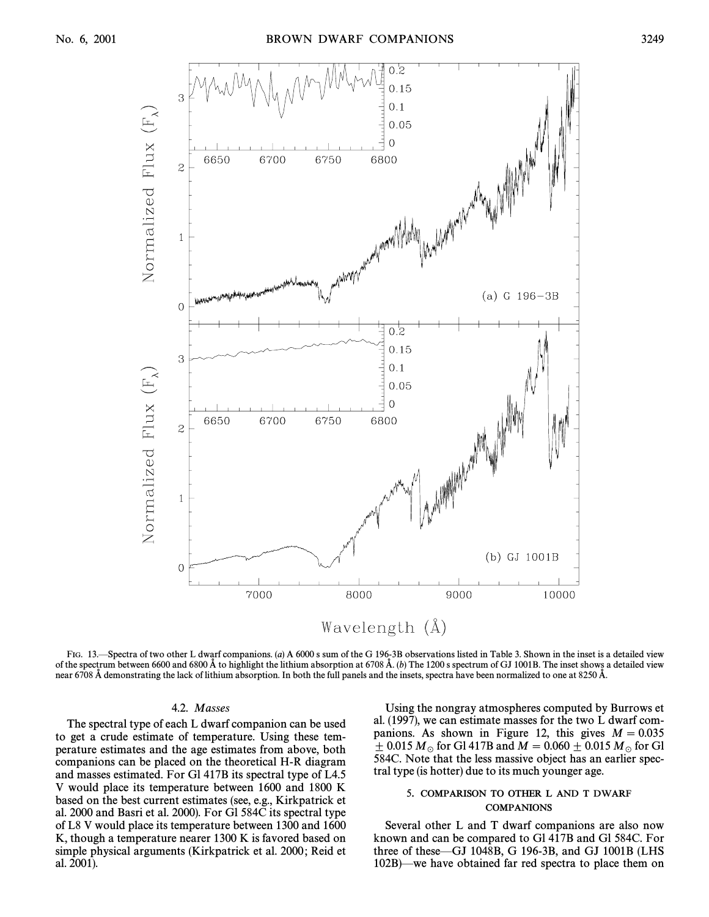

FIG. 13.—Spectra of two other L dwarf companions. (a) A 6000 s sum of the G 196-3B observations listed in Table 3. Shown in the inset is a detailed view of the spectrum between 6600 and 6800 Å to highlight the lithium absorption at 6708 Å. (b) The 1200 s spectrum of GJ 1001B. The inset shows a detailed view near 6708 Å demonstrating the lack of lithium absorption. In both the full panels and the insets, spectra have been normalized to one at 8250 Å.

#### 4.2. Masses

The spectral type of each L dwarf companion can be used to get a crude estimate of temperature. Using these temperature estimates and the age estimates from above, both companions can be placed on the theoretical H-R diagram and masses estimated. For Gl 417B its spectral type of L4.5 V would place its temperature between 1600 and 1800 K based on the best current estimates (see, e.g., Kirkpatrick et al. 2000 and Basri et al. 2000). For Gl 584C its spectral type of L8 V would place its temperature between 1300 and 1600 K, though a temperature nearer 1300 K is favored based on simple physical arguments (Kirkpatrick et al. 2000; Reid et al. 2001).

Using the nongray atmospheres computed by Burrows et al. (1997), we can estimate masses for the two L dwarf companions. As shown in Figure 12, this gives  $M = 0.035$  $\pm$  0.015  $M_{\odot}$  for Gl 417B and  $M = 0.060 \pm 0.015$   $M_{\odot}$  for Gl 584C. Note that the less massive object has an earlier spectral type (is hotter) due to its much younger age.

#### 5. COMPARISON TO OTHER L AND T DWARF **COMPANIONS**

Several other L and T dwarf companions are also now known and can be compared to Gl 417B and Gl 584C. For three of these $-GJ$  1048B, G 196-3B, and GJ 1001B (LHS  $102B$ —we have obtained far red spectra to place them on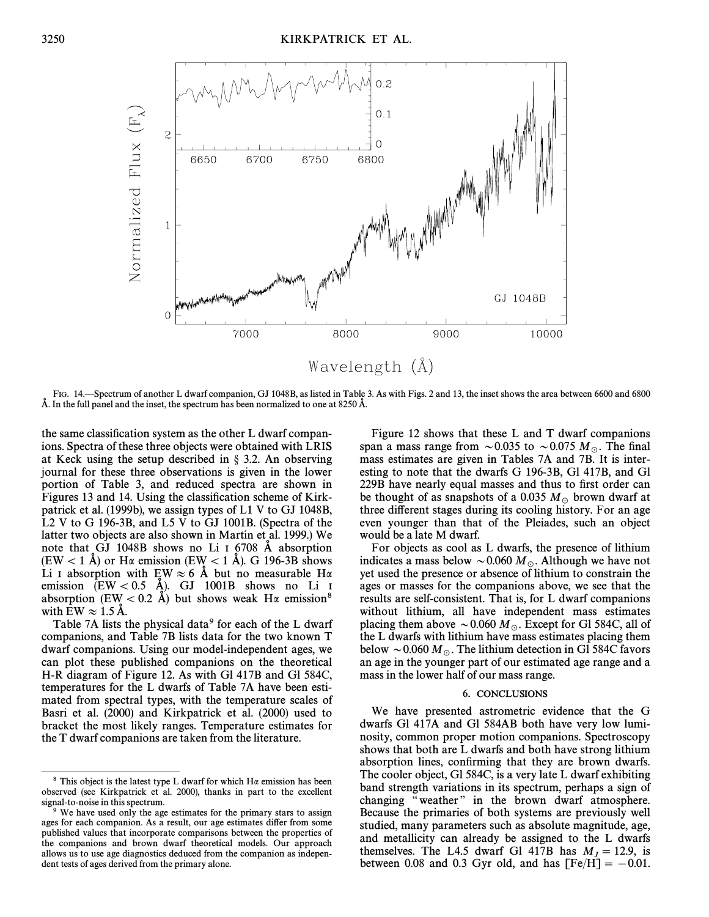

FIG. 14. Spectrum of another L dwarf companion, GJ 1048B, as listed in Table 3. As with Figs. 2 and 13, the inset shows the area between 6600 and 6800 Å. In the full panel and the inset, the spectrum has been normalized to one at 8250 Å.

the same classification system as the other L dwarf companions. Spectra of these three objects were obtained with LRIS at Keck using the setup described in  $\S$  3.2. An observing journal for these three observations is given in the lower portion of Table 3, and reduced spectra are shown in Figures 13 and 14. Using the classification scheme of Kirkpatrick et al. (1999b), we assign types of L1 V to GJ 1048B, L2 V to G 196-3B, and L5 V to GJ 1001B. (Spectra of the latter two objects are also shown in Martín et al. 1999.) We note that GJ 1048B shows no Li I 6708 Å absorption  $(EW < 1 \text{ Å})$  or H $\alpha$  emission (EW < 1 Å). G 196-3B shows Li I absorption with EW  $\approx 6$  Å but no measurable H $\alpha$ emission  $(EW < 0.5$  Å). GJ 1001B shows no Li I absorption (EW < 0.2 Å) but shows weak H $\alpha$  emission<sup>8</sup> with EW  $\approx 1.5$  Å.

Table 7A lists the physical data<sup>9</sup> for each of the L dwarf companions, and Table 7B lists data for the two known T dwarf companions. Using our model-independent ages, we can plot these published companions on the theoretical H-R diagram of Figure 12. As with Gl 417B and Gl 584C, temperatures for the L dwarfs of Table 7A have been estimated from spectral types, with the temperature scales of Basri et al. (2000) and Kirkpatrick et al. (2000) used to bracket the most likely ranges. Temperature estimates for the T dwarf companions are taken from the literature.

Figure 12 shows that these L and T dwarf companions span a mass range from  $\sim 0.035$  to  $\sim 0.075$  M<sub>o</sub>. The final mass estimates are given in Tables 7A and 7B. It is interesting to note that the dwarfs G 196-3B, Gl 417B, and Gl 229B have nearly equal masses and thus to first order can be thought of as snapshots of a 0.035  $M_{\odot}$  brown dwarf at three different stages during its cooling history. For an age even younger than that of the Pleiades, such an object would be a late M dwarf.

For objects as cool as L dwarfs, the presence of lithium indicates a mass below  $\sim 0.060 M_{\odot}$ . Although we have not yet used the presence or absence of lithium to constrain the ages or masses for the companions above, we see that the results are self-consistent. That is, for L dwarf companions without lithium, all have independent mass estimates placing them above  $\sim 0.060 M_{\odot}$ . Except for Gl 584C, all of the L dwarfs with lithium have mass estimates placing them below  $\sim 0.060 M_{\odot}$ . The lithium detection in Gl 584C favors an age in the younger part of our estimated age range and a mass in the lower half of our mass range.

#### 6. CONCLUSIONS

We have presented astrometric evidence that the G dwarfs Gl 417A and Gl 584AB both have very low luminosity, common proper motion companions. Spectroscopy shows that both are L dwarfs and both have strong lithium absorption lines, confirming that they are brown dwarfs. The cooler object, Gl 584C, is a very late L dwarf exhibiting band strength variations in its spectrum, perhaps a sign of changing "weather" in the brown dwarf atmosphere. Because the primaries of both systems are previously well studied, many parameters such as absolute magnitude, age, and metallicity can already be assigned to the L dwarfs themselves. The L4.5 dwarf Gl 417B has  $M<sub>J</sub> = 12.9$ , is between 0.08 and 0.3 Gyr old, and has  $[Fe/H] = -0.01$ .

<sup>&</sup>lt;sup>8</sup> This object is the latest type L dwarf for which H $\alpha$  emission has been observed (see Kirkpatrick et al. 2000), thanks in part to the excellent signal-to-noise in this spectrum.

We have used only the age estimates for the primary stars to assign ages for each companion. As a result, our age estimates differ from some published values that incorporate comparisons between the properties of the companions and brown dwarf theoretical models. Our approach allows us to use age diagnostics deduced from the companion as independent tests of ages derived from the primary alone.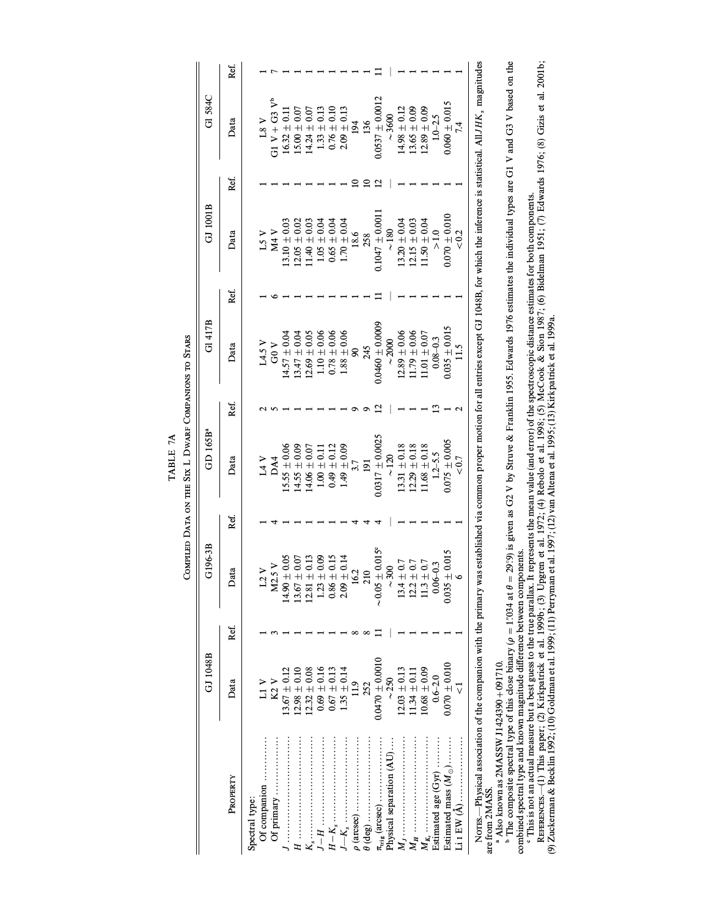COMPILED DATA ON THE SIX L DWARF COMPANIONS TO STARS COMPILED DATA ON THE SIX L DWARF COMPANIONS TO STARS TABLE 7A TABLE 7A

 $\parallel$ 

|                                                                                                                                                                                                         | GJ 1048B            |      | G196-3B                                                                     |      | GD 165B <sup>a</sup> |      | G1417B              |      | GJ 1001B            |      | GI 584C             |      |
|---------------------------------------------------------------------------------------------------------------------------------------------------------------------------------------------------------|---------------------|------|-----------------------------------------------------------------------------|------|----------------------|------|---------------------|------|---------------------|------|---------------------|------|
| PROPERTY                                                                                                                                                                                                | Data                | Ref. | Data                                                                        | Ref. | Data                 | Ref. | Data                | Ref. | Data                | Ref. | Data                | Ref. |
| Spectral type:                                                                                                                                                                                          |                     |      |                                                                             |      |                      |      |                     |      |                     |      |                     |      |
| Of companion                                                                                                                                                                                            | $L1$ V              |      | L2                                                                          |      | 14V                  |      | L4.5V               |      | L5 V                |      | 18 <sub>V</sub>     |      |
| Of primary                                                                                                                                                                                              | K2                  |      | M2.5V                                                                       |      | DA4                  |      | ა<br>გ              |      | M4                  |      | G1 $V + G3 V^b$     |      |
|                                                                                                                                                                                                         | $.3.67 \pm 0.12$    |      | $14.90\pm0.05$                                                              |      | $15.55 \pm 0.06$     |      | $14.57 \pm 0.04$    |      | $13.10 \pm 0.03$    |      | $16.32 \pm 0.11$    |      |
|                                                                                                                                                                                                         | $.2.98 \pm 0.10$    |      | $13.67 \pm 0.07$                                                            |      | $14.55 \pm 0.09$     |      | $13.47 \pm 0.04$    |      | $12.05 \pm 0.02$    |      | $15.00 \pm 0.07$    |      |
|                                                                                                                                                                                                         | $2.32 \pm 0.08$     |      | $12.81 \pm 0.13$                                                            |      | $14.06 \pm 0.07$     |      | $12.69 \pm 0.05$    |      | $1.40 \pm 0.03$     |      | $14.24 \pm 0.07$    |      |
|                                                                                                                                                                                                         | $0.69 \pm 0.16$     |      | $1.23\pm0.09$                                                               |      | $1.00 \pm 0.11$      |      | $1.10 \pm 0.06$     |      | $1.05 \pm 0.04$     |      | $1.33 \pm 0.13$     |      |
|                                                                                                                                                                                                         | $0.67 \pm 0.13$     |      | $0.86 \pm 0.15$                                                             |      | $0.49 \pm 0.12$      |      | $0.78 \pm 0.06$     |      | $0.65 \pm 0.04$     |      | $0.76 \pm 0.10$     |      |
|                                                                                                                                                                                                         | $1.35 + 0.14$       |      | $2.09 \pm 0.14$                                                             |      | $1.49 \pm 0.09$      |      | $1.88 \pm 0.06$     |      | $1.70 \pm 0.04$     |      | $2.09 \pm 0.13$     |      |
|                                                                                                                                                                                                         | $\frac{1}{11}$      |      | L,<br>$\frac{6}{1}$                                                         |      | 3.7                  |      | ଛ                   |      | 18.6                |      | 194                 |      |
|                                                                                                                                                                                                         | 252                 |      | $\overline{c}$                                                              |      | 191                  |      | 245                 |      | 258                 |      | 136                 |      |
|                                                                                                                                                                                                         | $0.0470 \pm 0.0010$ |      | $-0.05 \pm 0.015$ °                                                         |      | $0.0317 \pm 0.0025$  |      | $0.0460 \pm 0.0009$ |      | $0.1047 \pm 0.0011$ |      | $0.0537 \pm 0.0012$ |      |
| Physical separation (AU)                                                                                                                                                                                | $\sim\!\!250$       |      | ~500                                                                        |      | $\frac{20}{5}$       |      | ~2000               |      | $\sim\!180$         |      | ~15600              |      |
|                                                                                                                                                                                                         | $12.03 \pm 0.13$    |      | $\begin{array}{c} 13.4 \pm 0.7 \\ 12.2 \pm 0.7 \\ 11.3 \pm 0.7 \end{array}$ |      | $13.31 \pm 0.18$     |      | $12.89 \pm 0.06$    |      | $13.20 \pm 0.04$    |      | $14.98 \pm 0.12$    |      |
|                                                                                                                                                                                                         | $11.34 \pm 0.11$    |      |                                                                             |      | $12.29 \pm 0.18$     |      | $11.79 \pm 0.06$    |      | $12.15 \pm 0.03$    |      | $13.65 \pm 0.09$    |      |
|                                                                                                                                                                                                         | $10.68 \pm 0.09$    |      |                                                                             |      | $11.68 \pm 0.18$     |      | $11.01 \pm 0.07$    |      | $11.50 \pm 0.04$    |      | $12.89 \pm 0.09$    |      |
| Estimated age (Gyr)                                                                                                                                                                                     | $0.6 - 2.0$         |      | $0.06 - 0.3$                                                                |      | $1.2 - 5.5$          |      | $0.08 - 0.3$        |      | $\frac{5}{10}$      |      | $1.0 - 2.5$         |      |
| Estimated mass $(M_{\odot})$                                                                                                                                                                            | $0.070 \pm 0.010$   |      | $0.035 \pm 0.015$                                                           |      | $0.075 \pm 0.005$    |      | $0.035 \pm 0.015$   |      | $0.070 \pm 0.010$   |      | $0.060 \pm 0.015$   |      |
|                                                                                                                                                                                                         |                     |      |                                                                             |      | < 0.7                |      |                     |      | < 0.2               |      | 74                  |      |
| NOTES .--Physical association of the companion with the primary was established via common proper motion for all entries except CJ 1048B, for which the inference is statistical. All $HK_s$ magnitudes |                     |      |                                                                             |      |                      |      |                     |      |                     |      |                     |      |

Norms.—Physical association of the companion with the primary was established via common proper motion for all entries except GJ 1048B, for which the inference is statistical. All JHK<sub>s</sub>, magnitudes  $\ldots$ are from 2MASS. are from 2MASS.

a Also known as  $2MASSW$  J1424390+091710.

abc"The composite spectral type of this close binary  $(\rho = 1034$  at  $\theta = 29$ °.9) is given as G2 V by Struve & Franklin 1955. Edwards 1976 estimates the individual types are G1 V and G3 V based on the combined spectral type and known magnitude di†erence between components.

This is not an actual measure but a best guess to the true parallax. It represents the mean value (and error) of the spectroscopic distance estimates for both components.

REFERENCES.—(1) This paper; (2) Kirkpatrick et al. 1973; (3) Upgren et al. 1972; (4) Rebolo et al. 1998; (5) McCook & Sion 1981; (6) Bidelman 1951; (7) Edwards 1976; (8) Gizis et al. 2001b; (9) Zuckerman & Becklin 1992 ; (10) Goldman et al. 1999 ; (11) Perryman et al. 1997 ; (12) van Altena et al. 1995 ; (13) Kirkpatrick et al. 1999a.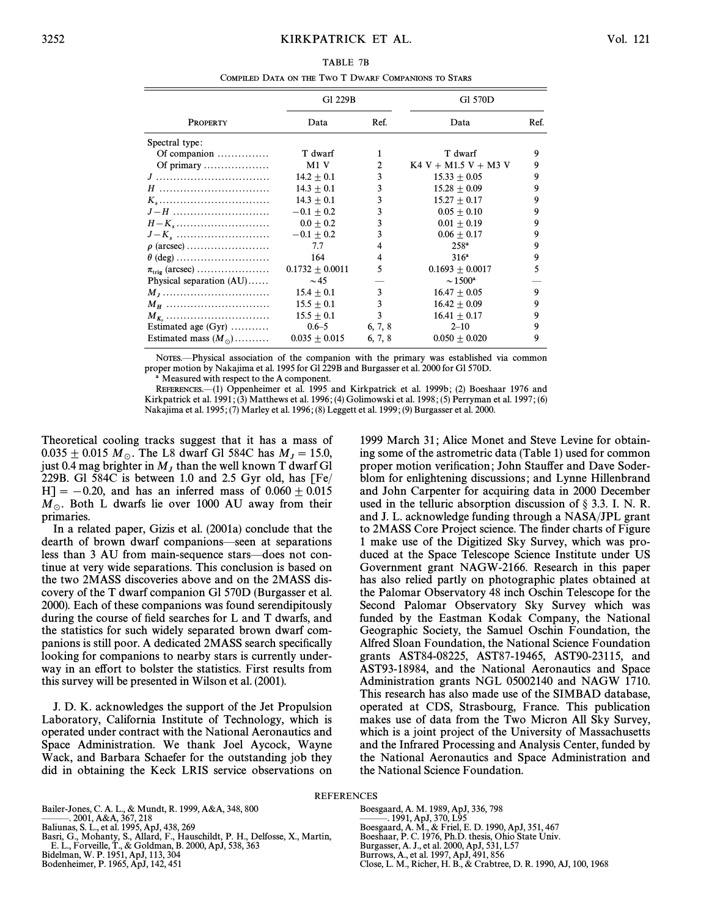| TABLE 7B                                             |
|------------------------------------------------------|
| COMPILED DATA ON THE TWO T DWARF COMPANIONS TO STARS |

|                              | G1 229B             |         | G1 570D                |      |
|------------------------------|---------------------|---------|------------------------|------|
| <b>PROPERTY</b>              | Data                | Ref.    | Data                   | Ref. |
| Spectral type:               |                     |         |                        |      |
| Of companion                 | T dwarf             | 1       | T dwarf                | 9    |
| Of primary                   | M1V                 | 2       | $K4 V + M1.5 V + M3 V$ | 9    |
|                              | $14.2 + 0.1$        | 3       | $15.33 + 0.05$         | 9    |
| $H$                          | $14.3 + 0.1$        | 3       | $15.28 + 0.09$         | 9    |
|                              | $14.3 + 0.1$        | 3       | $15.27 + 0.17$         | 9    |
| $J-H$                        | $-0.1 + 0.2$        | 3       | $0.05 + 0.10$          | 9    |
|                              | $0.0 \pm 0.2$       | 3       | $0.01 \pm 0.19$        | 9    |
| $J-K_s$                      | $-0.1 \pm 0.2$      | 3       | $0.06 + 0.17$          | 9    |
| $\rho$ (arcsec)              | 7.7                 | 4       | $258^{\rm a}$          | 9    |
| $\theta$ (deg)               | 164                 | 4       | $316^a$                | 9    |
| $\pi_{\text{trig}}$ (arcsec) | $0.1732 \pm 0.0011$ | 5       | $0.1693 + 0.0017$      | 5    |
| Physical separation $(AU)$   | $\sim$ 45           |         | $\sim 1500^{\rm a}$    |      |
|                              | $15.4 + 0.1$        | 3       | $16.47 + 0.05$         | 9    |
| $M_H$                        | $15.5 + 0.1$        | 3       | $16.42 + 0.09$         | 9    |
| $M_{K_{\alpha}}$             | $15.5 \pm 0.1$      | 3       | $16.41 + 0.17$         | 9    |
| Estimated age $(Gyr)$        | $0.6 - 5$           | 6, 7, 8 | $2 - 10$               | 9    |
| Estimated mass $(M_{\odot})$ | $0.035 + 0.015$     | 6, 7, 8 | $0.050 + 0.020$        | 9    |

NOTES.—Physical association of the companion with the primary was established via common proper motion by Nakajima et al. 1995 for Gl 229B and Burgasser et al. 2000 for Gl 570D.

Measured with respect to the A component.

REFERENCES.<sup>(1)</sup> Oppenheimer et al. 1995 and Kirkpatrick et al. 1999b; (2) Boeshaar 1976 and Kirkpatrick et al. 1991 ; (3) Matthews et al. 1996 ; (4) Golimowski et al. 1998 ; (5) Perryman et al. 1997 ; (6) Nakajima et al. 1995 ; (7) Marley et al. 1996 ; (8) Leggett et al. 1999 ; (9) Burgasser et al. 2000.

Theoretical cooling tracks suggest that it has a mass of  $0.035 \pm 0.015$   $M_\odot$ . The L8 dwarf Gl 584C has  $M_J = 15.0$ ,<br>iust 0.4 mag brighter in M<sub>r</sub> than the well known T dwarf Gl just 0.4 mag brighter in  $M_J$  than the well known T dwarf Gl 229B. Gl 584C is between 1.0 and 2.5 Gyr old, has [Fe/  $H$ ] = -0.20, and has an inferred mass of 0.060 + 0.015  $M_{\odot}$ . Both L dwarfs lie over 1000 AU away from their primaries.

In a related paper, Gizis et al. (2001a) conclude that the dearth of brown dwarf companions—seen at separations less than 3 AU from main-sequence stars—does not continue at very wide separations. This conclusion is based on the two 2MASS discoveries above and on the 2MASS discovery of the T dwarf companion Gl 570D (Burgasser et al. 2000). Each of these companions was found serendipitously during the course of field searches for  $L$  and  $T$  dwarfs, and the statistics for such widely separated brown dwarf companions is still poor. A dedicated 2MASS search specifically looking for companions to nearby stars is currently underway in an effort to bolster the statistics. First results from this survey will be presented in Wilson et al. (2001).

J. D. K. acknowledges the support of the Jet Propulsion Laboratory, California Institute of Technology, which is operated under contract with the National Aeronautics and Space Administration. We thank Joel Aycock, Wayne Wack, and Barbara Schaefer for the outstanding job they did in obtaining the Keck LRIS service observations on

1999 March 31; Alice Monet and Steve Levine for obtaining some of the astrometric data (Table 1) used for common proper motion verification; John Stauffer and Dave Soderblom for enlightening discussions; and Lynne Hillenbrand and John Carpenter for acquiring data in 2000 December used in the telluric absorption discussion of  $\S$  3.3. I. N. R. and J. L. acknowledge funding through a NASA/JPL grant to 2MASS Core Project science. The finder charts of Figure 1 make use of the Digitized Sky Survey, which was produced at the Space Telescope Science Institute under US Government grant NAGW-2166. Research in this paper has also relied partly on photographic plates obtained at the Palomar Observatory 48 inch Oschin Telescope for the Second Palomar Observatory Sky Survey which was funded by the Eastman Kodak Company, the National Geographic Society, the Samuel Oschin Foundation, the Alfred Sloan Foundation, the National Science Foundation grants AST84-08225, AST87-19465, AST90-23115, and AST93-18984, and the National Aeronautics and Space Administration grants NGL 05002140 and NAGW 1710. This research has also made use of the SIMBAD database, operated at CDS, Strasbourg, France. This publication makes use of data from the Two Micron All Sky Survey, which is a joint project of the University of Massachusetts and the Infrared Processing and Analysis Center, funded by the National Aeronautics and Space Administration and the National Science Foundation.

REFERENCES

Bailer-Jones, C. A. L., & Mundt, R. 1999, A&A, 348, 800 ———. 2001, A&A, 367, 218<br>Baliunas, S. L., et al. 1995, ApJ, 438, 269 Basri, G., Mohanty, S., Allard, F., Hauschildt, P. H., Delfosse, X., Martín, E. L., Forveille, T., & Goldman, B. 2000, ApJ, 538, 363 Bidelman, W. P. 1951, ApJ, 113, 304

Bodenheimer, P. 1965, ApJ, 142, 451

Boesgaard, A. M. 1989, ApJ, 336, 798 ———. 1991, ApJ, 370, L95<br>Boesgaard, A. M., & Friel, E. D. 1990, ApJ, 351, 467 Boeshaar, P. C. 1976, Ph.D. thesis, Ohio State Univ. Burgasser, A. J., et al. 2000, ApJ, 531, L57 Burrows, A., et al. 1997, ApJ, 491, 856 Close, L. M., Richer, H. B., & Crabtree, D. R. 1990, AJ, 100, 1968